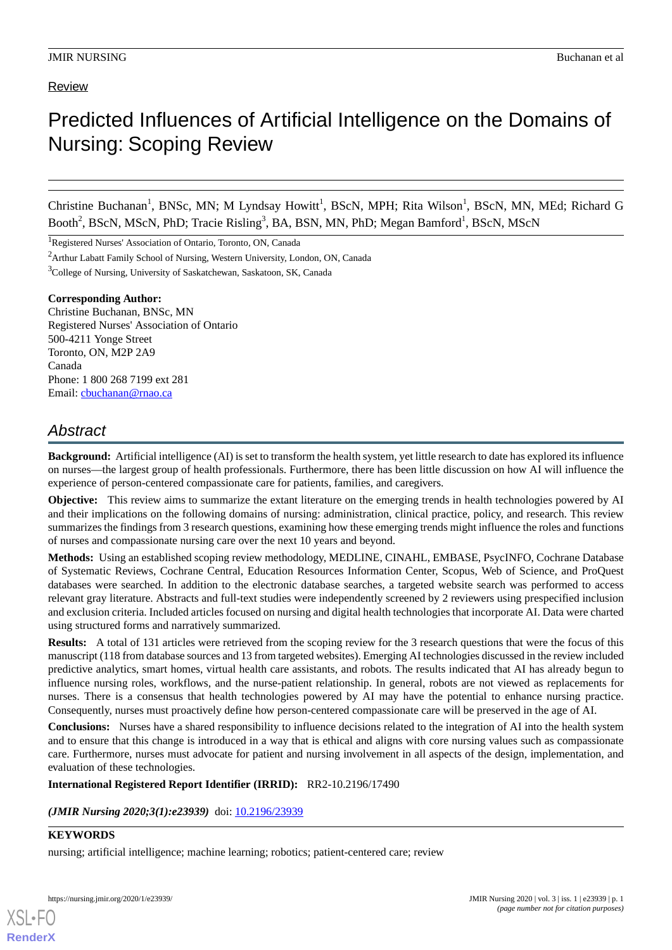# Review

# Predicted Influences of Artificial Intelligence on the Domains of Nursing: Scoping Review

Christine Buchanan<sup>1</sup>, BNSc, MN; M Lyndsay Howitt<sup>1</sup>, BScN, MPH; Rita Wilson<sup>1</sup>, BScN, MN, MEd; Richard G Booth<sup>2</sup>, BScN, MScN, PhD; Tracie Risling<sup>3</sup>, BA, BSN, MN, PhD; Megan Bamford<sup>1</sup>, BScN, MScN

<sup>1</sup>Registered Nurses' Association of Ontario, Toronto, ON, Canada

<sup>2</sup>Arthur Labatt Family School of Nursing, Western University, London, ON, Canada

<sup>3</sup>College of Nursing, University of Saskatchewan, Saskatoon, SK, Canada

#### **Corresponding Author:**

Christine Buchanan, BNSc, MN Registered Nurses' Association of Ontario 500-4211 Yonge Street Toronto, ON, M2P 2A9 Canada Phone: 1 800 268 7199 ext 281 Email: [cbuchanan@rnao.ca](mailto:cbuchanan@rnao.ca)

# *Abstract*

**Background:** Artificial intelligence (AI) is set to transform the health system, yet little research to date has explored its influence on nurses—the largest group of health professionals. Furthermore, there has been little discussion on how AI will influence the experience of person-centered compassionate care for patients, families, and caregivers.

**Objective:** This review aims to summarize the extant literature on the emerging trends in health technologies powered by AI and their implications on the following domains of nursing: administration, clinical practice, policy, and research. This review summarizes the findings from 3 research questions, examining how these emerging trends might influence the roles and functions of nurses and compassionate nursing care over the next 10 years and beyond.

**Methods:** Using an established scoping review methodology, MEDLINE, CINAHL, EMBASE, PsycINFO, Cochrane Database of Systematic Reviews, Cochrane Central, Education Resources Information Center, Scopus, Web of Science, and ProQuest databases were searched. In addition to the electronic database searches, a targeted website search was performed to access relevant gray literature. Abstracts and full-text studies were independently screened by 2 reviewers using prespecified inclusion and exclusion criteria. Included articles focused on nursing and digital health technologies that incorporate AI. Data were charted using structured forms and narratively summarized.

**Results:** A total of 131 articles were retrieved from the scoping review for the 3 research questions that were the focus of this manuscript (118 from database sources and 13 from targeted websites). Emerging AI technologies discussed in the review included predictive analytics, smart homes, virtual health care assistants, and robots. The results indicated that AI has already begun to influence nursing roles, workflows, and the nurse-patient relationship. In general, robots are not viewed as replacements for nurses. There is a consensus that health technologies powered by AI may have the potential to enhance nursing practice. Consequently, nurses must proactively define how person-centered compassionate care will be preserved in the age of AI.

**Conclusions:** Nurses have a shared responsibility to influence decisions related to the integration of AI into the health system and to ensure that this change is introduced in a way that is ethical and aligns with core nursing values such as compassionate care. Furthermore, nurses must advocate for patient and nursing involvement in all aspects of the design, implementation, and evaluation of these technologies.

#### **International Registered Report Identifier (IRRID):** RR2-10.2196/17490

(JMIR Nursing 2020;3(1):e23939) doi: [10.2196/23939](http://dx.doi.org/10.2196/23939)

# **KEYWORDS**

[XSL](http://www.w3.org/Style/XSL)•FO **[RenderX](http://www.renderx.com/)**

nursing; artificial intelligence; machine learning; robotics; patient-centered care; review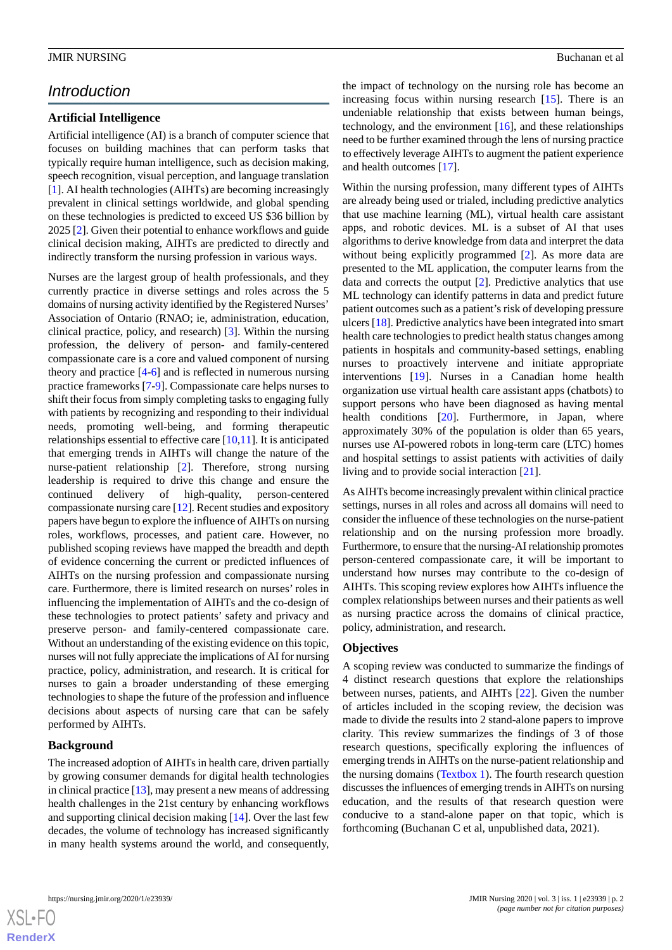# *Introduction*

# **Artificial Intelligence**

Artificial intelligence (AI) is a branch of computer science that focuses on building machines that can perform tasks that typically require human intelligence, such as decision making, speech recognition, visual perception, and language translation [[1\]](#page-7-0). AI health technologies (AIHTs) are becoming increasingly prevalent in clinical settings worldwide, and global spending on these technologies is predicted to exceed US \$36 billion by 2025 [[2\]](#page-7-1). Given their potential to enhance workflows and guide clinical decision making, AIHTs are predicted to directly and indirectly transform the nursing profession in various ways.

Nurses are the largest group of health professionals, and they currently practice in diverse settings and roles across the 5 domains of nursing activity identified by the Registered Nurses' Association of Ontario (RNAO; ie, administration, education, clinical practice, policy, and research) [\[3](#page-7-2)]. Within the nursing profession, the delivery of person- and family-centered compassionate care is a core and valued component of nursing theory and practice [[4](#page-7-3)-[6\]](#page-7-4) and is reflected in numerous nursing practice frameworks [\[7](#page-7-5)-[9\]](#page-7-6). Compassionate care helps nurses to shift their focus from simply completing tasks to engaging fully with patients by recognizing and responding to their individual needs, promoting well-being, and forming therapeutic relationships essential to effective care [\[10](#page-7-7),[11\]](#page-7-8). It is anticipated that emerging trends in AIHTs will change the nature of the nurse-patient relationship [[2\]](#page-7-1). Therefore, strong nursing leadership is required to drive this change and ensure the continued delivery of high-quality, person-centered compassionate nursing care [[12\]](#page-7-9). Recent studies and expository papers have begun to explore the influence of AIHTs on nursing roles, workflows, processes, and patient care. However, no published scoping reviews have mapped the breadth and depth of evidence concerning the current or predicted influences of AIHTs on the nursing profession and compassionate nursing care. Furthermore, there is limited research on nurses' roles in influencing the implementation of AIHTs and the co-design of these technologies to protect patients' safety and privacy and preserve person- and family-centered compassionate care. Without an understanding of the existing evidence on this topic, nurses will not fully appreciate the implications of AI for nursing practice, policy, administration, and research. It is critical for nurses to gain a broader understanding of these emerging technologies to shape the future of the profession and influence decisions about aspects of nursing care that can be safely performed by AIHTs.

### **Background**

The increased adoption of AIHTs in health care, driven partially by growing consumer demands for digital health technologies in clinical practice [[13\]](#page-7-10), may present a new means of addressing health challenges in the 21st century by enhancing workflows and supporting clinical decision making [[14\]](#page-7-11). Over the last few decades, the volume of technology has increased significantly in many health systems around the world, and consequently,

the impact of technology on the nursing role has become an increasing focus within nursing research [[15\]](#page-7-12). There is an undeniable relationship that exists between human beings, technology, and the environment  $[16]$  $[16]$ , and these relationships need to be further examined through the lens of nursing practice to effectively leverage AIHTs to augment the patient experience and health outcomes [[17\]](#page-8-1).

Within the nursing profession, many different types of AIHTs are already being used or trialed, including predictive analytics that use machine learning (ML), virtual health care assistant apps, and robotic devices. ML is a subset of AI that uses algorithms to derive knowledge from data and interpret the data without being explicitly programmed [[2\]](#page-7-1). As more data are presented to the ML application, the computer learns from the data and corrects the output [\[2](#page-7-1)]. Predictive analytics that use ML technology can identify patterns in data and predict future patient outcomes such as a patient's risk of developing pressure ulcers [[18\]](#page-8-2). Predictive analytics have been integrated into smart health care technologies to predict health status changes among patients in hospitals and community-based settings, enabling nurses to proactively intervene and initiate appropriate interventions [[19\]](#page-8-3). Nurses in a Canadian home health organization use virtual health care assistant apps (chatbots) to support persons who have been diagnosed as having mental health conditions [\[20](#page-8-4)]. Furthermore, in Japan, where approximately 30% of the population is older than 65 years, nurses use AI-powered robots in long-term care (LTC) homes and hospital settings to assist patients with activities of daily living and to provide social interaction [[21\]](#page-8-5).

As AIHTs become increasingly prevalent within clinical practice settings, nurses in all roles and across all domains will need to consider the influence of these technologies on the nurse-patient relationship and on the nursing profession more broadly. Furthermore, to ensure that the nursing-AI relationship promotes person-centered compassionate care, it will be important to understand how nurses may contribute to the co-design of AIHTs. This scoping review explores how AIHTs influence the complex relationships between nurses and their patients as well as nursing practice across the domains of clinical practice, policy, administration, and research.

#### **Objectives**

A scoping review was conducted to summarize the findings of 4 distinct research questions that explore the relationships between nurses, patients, and AIHTs [\[22](#page-8-6)]. Given the number of articles included in the scoping review, the decision was made to divide the results into 2 stand-alone papers to improve clarity. This review summarizes the findings of 3 of those research questions, specifically exploring the influences of emerging trends in AIHTs on the nurse-patient relationship and the nursing domains [\(Textbox 1](#page-2-0)). The fourth research question discusses the influences of emerging trends in AIHTs on nursing education, and the results of that research question were conducive to a stand-alone paper on that topic, which is forthcoming (Buchanan C et al, unpublished data, 2021).

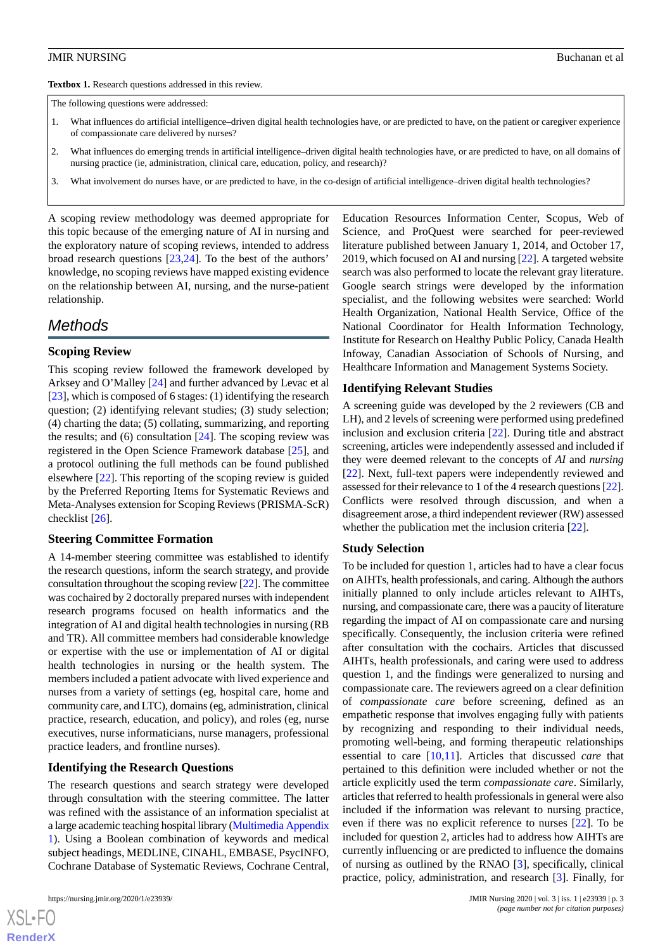<span id="page-2-0"></span>**Textbox 1.** Research questions addressed in this review.

The following questions were addressed:

- 1. What influences do artificial intelligence–driven digital health technologies have, or are predicted to have, on the patient or caregiver experience of compassionate care delivered by nurses?
- 2. What influences do emerging trends in artificial intelligence–driven digital health technologies have, or are predicted to have, on all domains of nursing practice (ie, administration, clinical care, education, policy, and research)?
- 3. What involvement do nurses have, or are predicted to have, in the co-design of artificial intelligence–driven digital health technologies?

A scoping review methodology was deemed appropriate for this topic because of the emerging nature of AI in nursing and the exploratory nature of scoping reviews, intended to address broad research questions [\[23](#page-8-7),[24\]](#page-8-8). To the best of the authors' knowledge, no scoping reviews have mapped existing evidence on the relationship between AI, nursing, and the nurse-patient relationship.

# *Methods*

#### **Scoping Review**

This scoping review followed the framework developed by Arksey and O'Malley [[24\]](#page-8-8) and further advanced by Levac et al [[23\]](#page-8-7), which is composed of 6 stages: (1) identifying the research question; (2) identifying relevant studies; (3) study selection; (4) charting the data; (5) collating, summarizing, and reporting the results; and  $(6)$  consultation  $[24]$  $[24]$ . The scoping review was registered in the Open Science Framework database [\[25](#page-8-9)], and a protocol outlining the full methods can be found published elsewhere [\[22](#page-8-6)]. This reporting of the scoping review is guided by the Preferred Reporting Items for Systematic Reviews and Meta-Analyses extension for Scoping Reviews (PRISMA-ScR) checklist [[26\]](#page-8-10).

#### **Steering Committee Formation**

A 14-member steering committee was established to identify the research questions, inform the search strategy, and provide consultation throughout the scoping review [\[22](#page-8-6)]. The committee was cochaired by 2 doctorally prepared nurses with independent research programs focused on health informatics and the integration of AI and digital health technologies in nursing (RB and TR). All committee members had considerable knowledge or expertise with the use or implementation of AI or digital health technologies in nursing or the health system. The members included a patient advocate with lived experience and nurses from a variety of settings (eg, hospital care, home and community care, and LTC), domains (eg, administration, clinical practice, research, education, and policy), and roles (eg, nurse executives, nurse informaticians, nurse managers, professional practice leaders, and frontline nurses).

#### **Identifying the Research Questions**

The research questions and search strategy were developed through consultation with the steering committee. The latter was refined with the assistance of an information specialist at a large academic teaching hospital library [\(Multimedia Appendix](#page-7-13) [1\)](#page-7-13). Using a Boolean combination of keywords and medical subject headings, MEDLINE, CINAHL, EMBASE, PsycINFO, Cochrane Database of Systematic Reviews, Cochrane Central,

[XSL](http://www.w3.org/Style/XSL)•FO **[RenderX](http://www.renderx.com/)** Education Resources Information Center, Scopus, Web of Science, and ProQuest were searched for peer-reviewed literature published between January 1, 2014, and October 17, 2019, which focused on AI and nursing [\[22](#page-8-6)]. A targeted website search was also performed to locate the relevant gray literature. Google search strings were developed by the information specialist, and the following websites were searched: World Health Organization, National Health Service, Office of the National Coordinator for Health Information Technology, Institute for Research on Healthy Public Policy, Canada Health Infoway, Canadian Association of Schools of Nursing, and Healthcare Information and Management Systems Society.

#### **Identifying Relevant Studies**

A screening guide was developed by the 2 reviewers (CB and LH), and 2 levels of screening were performed using predefined inclusion and exclusion criteria [\[22](#page-8-6)]. During title and abstract screening, articles were independently assessed and included if they were deemed relevant to the concepts of *AI* and *nursing* [[22\]](#page-8-6). Next, full-text papers were independently reviewed and assessed for their relevance to 1 of the 4 research questions [\[22](#page-8-6)]. Conflicts were resolved through discussion, and when a disagreement arose, a third independent reviewer (RW) assessed whether the publication met the inclusion criteria [\[22](#page-8-6)].

#### **Study Selection**

To be included for question 1, articles had to have a clear focus on AIHTs, health professionals, and caring. Although the authors initially planned to only include articles relevant to AIHTs, nursing, and compassionate care, there was a paucity of literature regarding the impact of AI on compassionate care and nursing specifically. Consequently, the inclusion criteria were refined after consultation with the cochairs. Articles that discussed AIHTs, health professionals, and caring were used to address question 1, and the findings were generalized to nursing and compassionate care. The reviewers agreed on a clear definition of *compassionate care* before screening, defined as an empathetic response that involves engaging fully with patients by recognizing and responding to their individual needs, promoting well-being, and forming therapeutic relationships essential to care [\[10](#page-7-7),[11\]](#page-7-8). Articles that discussed *care* that pertained to this definition were included whether or not the article explicitly used the term *compassionate care*. Similarly, articles that referred to health professionals in general were also included if the information was relevant to nursing practice, even if there was no explicit reference to nurses [[22\]](#page-8-6). To be included for question 2, articles had to address how AIHTs are currently influencing or are predicted to influence the domains of nursing as outlined by the RNAO [\[3](#page-7-2)], specifically, clinical practice, policy, administration, and research [\[3](#page-7-2)]. Finally, for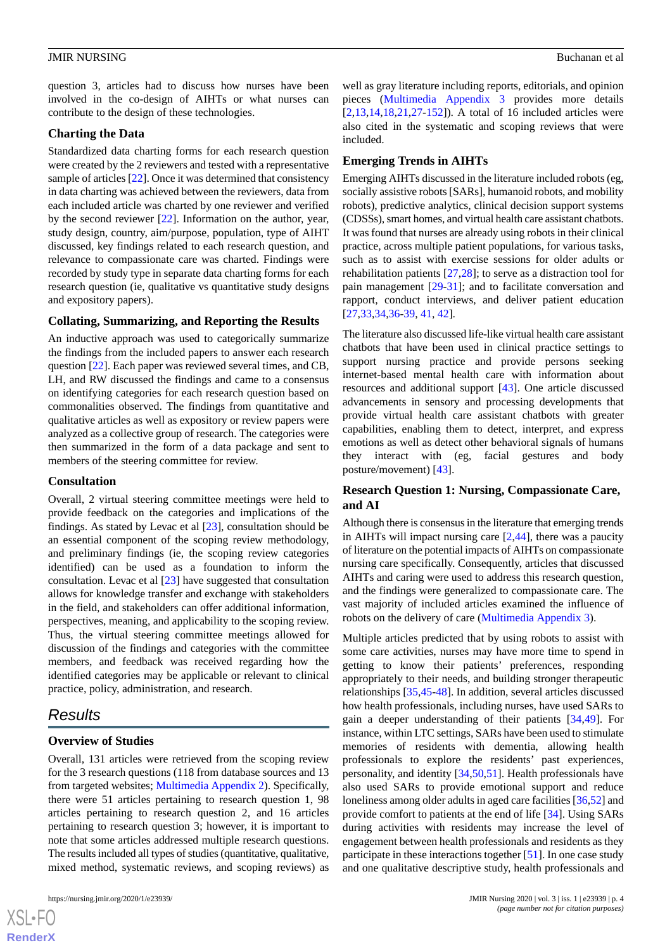question 3, articles had to discuss how nurses have been involved in the co-design of AIHTs or what nurses can contribute to the design of these technologies.

#### **Charting the Data**

Standardized data charting forms for each research question were created by the 2 reviewers and tested with a representative sample of articles [[22\]](#page-8-6). Once it was determined that consistency in data charting was achieved between the reviewers, data from each included article was charted by one reviewer and verified by the second reviewer [\[22](#page-8-6)]. Information on the author, year, study design, country, aim/purpose, population, type of AIHT discussed, key findings related to each research question, and relevance to compassionate care was charted. Findings were recorded by study type in separate data charting forms for each research question (ie, qualitative vs quantitative study designs and expository papers).

# **Collating, Summarizing, and Reporting the Results**

An inductive approach was used to categorically summarize the findings from the included papers to answer each research question [[22\]](#page-8-6). Each paper was reviewed several times, and CB, LH, and RW discussed the findings and came to a consensus on identifying categories for each research question based on commonalities observed. The findings from quantitative and qualitative articles as well as expository or review papers were analyzed as a collective group of research. The categories were then summarized in the form of a data package and sent to members of the steering committee for review.

#### **Consultation**

Overall, 2 virtual steering committee meetings were held to provide feedback on the categories and implications of the findings. As stated by Levac et al [[23\]](#page-8-7), consultation should be an essential component of the scoping review methodology, and preliminary findings (ie, the scoping review categories identified) can be used as a foundation to inform the consultation. Levac et al [\[23](#page-8-7)] have suggested that consultation allows for knowledge transfer and exchange with stakeholders in the field, and stakeholders can offer additional information, perspectives, meaning, and applicability to the scoping review. Thus, the virtual steering committee meetings allowed for discussion of the findings and categories with the committee members, and feedback was received regarding how the identified categories may be applicable or relevant to clinical practice, policy, administration, and research.

# *Results*

#### **Overview of Studies**

Overall, 131 articles were retrieved from the scoping review for the 3 research questions (118 from database sources and 13 from targeted websites; [Multimedia Appendix 2](#page-7-14)). Specifically, there were 51 articles pertaining to research question 1, 98 articles pertaining to research question 2, and 16 articles pertaining to research question 3; however, it is important to note that some articles addressed multiple research questions. The results included all types of studies (quantitative, qualitative, mixed method, systematic reviews, and scoping reviews) as

well as gray literature including reports, editorials, and opinion pieces [\(Multimedia Appendix 3](#page-7-15) provides more details [[2](#page-7-1)[,13](#page-7-10),[14,](#page-7-11)[18,](#page-8-2)[21](#page-8-5)[,27](#page-8-11)-[152\]](#page-13-0)). A total of 16 included articles were also cited in the systematic and scoping reviews that were included.

#### **Emerging Trends in AIHTs**

Emerging AIHTs discussed in the literature included robots (eg, socially assistive robots [SARs], humanoid robots, and mobility robots), predictive analytics, clinical decision support systems (CDSSs), smart homes, and virtual health care assistant chatbots. It was found that nurses are already using robots in their clinical practice, across multiple patient populations, for various tasks, such as to assist with exercise sessions for older adults or rehabilitation patients [\[27](#page-8-11),[28\]](#page-8-12); to serve as a distraction tool for pain management [[29-](#page-8-13)[31](#page-8-14)]; and to facilitate conversation and rapport, conduct interviews, and deliver patient education [[27,](#page-8-11)[33,](#page-8-15)[34](#page-8-16)[,36](#page-8-17)-[39,](#page-8-18) [41,](#page-9-0) [42\]](#page-9-1).

The literature also discussed life-like virtual health care assistant chatbots that have been used in clinical practice settings to support nursing practice and provide persons seeking internet-based mental health care with information about resources and additional support [\[43](#page-9-2)]. One article discussed advancements in sensory and processing developments that provide virtual health care assistant chatbots with greater capabilities, enabling them to detect, interpret, and express emotions as well as detect other behavioral signals of humans they interact with (eg, facial gestures and body posture/movement) [[43\]](#page-9-2).

# **Research Question 1: Nursing, Compassionate Care, and AI**

Although there is consensus in the literature that emerging trends in AIHTs will impact nursing care  $[2,44]$  $[2,44]$  $[2,44]$  $[2,44]$ , there was a paucity of literature on the potential impacts of AIHTs on compassionate nursing care specifically. Consequently, articles that discussed AIHTs and caring were used to address this research question, and the findings were generalized to compassionate care. The vast majority of included articles examined the influence of robots on the delivery of care [\(Multimedia Appendix 3\)](#page-7-15).

Multiple articles predicted that by using robots to assist with some care activities, nurses may have more time to spend in getting to know their patients' preferences, responding appropriately to their needs, and building stronger therapeutic relationships [\[35](#page-8-19),[45](#page-9-4)[-48](#page-9-5)]. In addition, several articles discussed how health professionals, including nurses, have used SARs to gain a deeper understanding of their patients [[34,](#page-8-16)[49](#page-9-6)]. For instance, within LTC settings, SARs have been used to stimulate memories of residents with dementia, allowing health professionals to explore the residents' past experiences, personality, and identity [\[34](#page-8-16),[50,](#page-9-7)[51](#page-9-8)]. Health professionals have also used SARs to provide emotional support and reduce loneliness among older adults in aged care facilities [[36,](#page-8-17)[52](#page-9-9)] and provide comfort to patients at the end of life [[34\]](#page-8-16). Using SARs during activities with residents may increase the level of engagement between health professionals and residents as they participate in these interactions together [\[51](#page-9-8)]. In one case study and one qualitative descriptive study, health professionals and

 $XS$  $\cdot$ FC **[RenderX](http://www.renderx.com/)**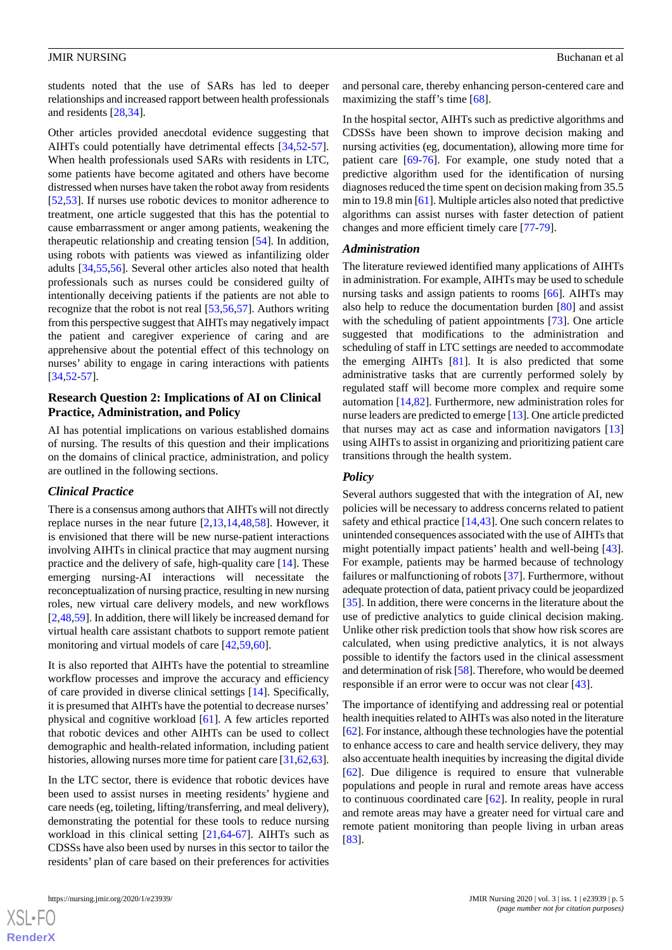students noted that the use of SARs has led to deeper relationships and increased rapport between health professionals and residents [[28](#page-8-12)[,34](#page-8-16)].

Other articles provided anecdotal evidence suggesting that AIHTs could potentially have detrimental effects [[34](#page-8-16)[,52](#page-9-9)-[57\]](#page-9-10). When health professionals used SARs with residents in LTC, some patients have become agitated and others have become distressed when nurses have taken the robot away from residents [[52](#page-9-9)[,53](#page-9-11)]. If nurses use robotic devices to monitor adherence to treatment, one article suggested that this has the potential to cause embarrassment or anger among patients, weakening the therapeutic relationship and creating tension [[54\]](#page-9-12). In addition, using robots with patients was viewed as infantilizing older adults [[34](#page-8-16)[,55](#page-9-13),[56\]](#page-9-14). Several other articles also noted that health professionals such as nurses could be considered guilty of intentionally deceiving patients if the patients are not able to recognize that the robot is not real [[53](#page-9-11)[,56](#page-9-14),[57\]](#page-9-10). Authors writing from this perspective suggest that AIHTs may negatively impact the patient and caregiver experience of caring and are apprehensive about the potential effect of this technology on nurses' ability to engage in caring interactions with patients [[34](#page-8-16)[,52](#page-9-9)-[57\]](#page-9-10).

# **Research Question 2: Implications of AI on Clinical Practice, Administration, and Policy**

AI has potential implications on various established domains of nursing. The results of this question and their implications on the domains of clinical practice, administration, and policy are outlined in the following sections.

# *Clinical Practice*

There is a consensus among authors that AIHTs will not directly replace nurses in the near future [[2,](#page-7-1)[13](#page-7-10),[14,](#page-7-11)[48](#page-9-5),[58\]](#page-9-15). However, it is envisioned that there will be new nurse-patient interactions involving AIHTs in clinical practice that may augment nursing practice and the delivery of safe, high-quality care [\[14](#page-7-11)]. These emerging nursing-AI interactions will necessitate the reconceptualization of nursing practice, resulting in new nursing roles, new virtual care delivery models, and new workflows [[2](#page-7-1)[,48](#page-9-5),[59\]](#page-9-16). In addition, there will likely be increased demand for virtual health care assistant chatbots to support remote patient monitoring and virtual models of care [[42,](#page-9-1)[59](#page-9-16),[60\]](#page-9-17).

It is also reported that AIHTs have the potential to streamline workflow processes and improve the accuracy and efficiency of care provided in diverse clinical settings [\[14](#page-7-11)]. Specifically, it is presumed that AIHTs have the potential to decrease nurses' physical and cognitive workload [[61\]](#page-9-18). A few articles reported that robotic devices and other AIHTs can be used to collect demographic and health-related information, including patient histories, allowing nurses more time for patient care [\[31](#page-8-14),[62,](#page-9-19)[63\]](#page-9-20).

In the LTC sector, there is evidence that robotic devices have been used to assist nurses in meeting residents' hygiene and care needs (eg, toileting, lifting/transferring, and meal delivery), demonstrating the potential for these tools to reduce nursing workload in this clinical setting [[21](#page-8-5)[,64](#page-9-21)-[67\]](#page-10-0). AIHTs such as CDSSs have also been used by nurses in this sector to tailor the residents' plan of care based on their preferences for activities

and personal care, thereby enhancing person-centered care and maximizing the staff's time [[68\]](#page-10-1).

In the hospital sector, AIHTs such as predictive algorithms and CDSSs have been shown to improve decision making and nursing activities (eg, documentation), allowing more time for patient care [[69](#page-10-2)[-76](#page-10-3)]. For example, one study noted that a predictive algorithm used for the identification of nursing diagnoses reduced the time spent on decision making from 35.5 min to 19.8 min [[61\]](#page-9-18). Multiple articles also noted that predictive algorithms can assist nurses with faster detection of patient changes and more efficient timely care [\[77](#page-10-4)-[79\]](#page-10-5).

#### *Administration*

The literature reviewed identified many applications of AIHTs in administration. For example, AIHTs may be used to schedule nursing tasks and assign patients to rooms [[66\]](#page-10-6). AIHTs may also help to reduce the documentation burden [[80\]](#page-10-7) and assist with the scheduling of patient appointments [[73\]](#page-10-8). One article suggested that modifications to the administration and scheduling of staff in LTC settings are needed to accommodate the emerging AIHTs [\[81](#page-10-9)]. It is also predicted that some administrative tasks that are currently performed solely by regulated staff will become more complex and require some automation [\[14](#page-7-11),[82\]](#page-10-10). Furthermore, new administration roles for nurse leaders are predicted to emerge [\[13](#page-7-10)]. One article predicted that nurses may act as case and information navigators [\[13](#page-7-10)] using AIHTs to assist in organizing and prioritizing patient care transitions through the health system.

#### *Policy*

Several authors suggested that with the integration of AI, new policies will be necessary to address concerns related to patient safety and ethical practice [[14,](#page-7-11)[43](#page-9-2)]. One such concern relates to unintended consequences associated with the use of AIHTs that might potentially impact patients' health and well-being [[43\]](#page-9-2). For example, patients may be harmed because of technology failures or malfunctioning of robots [[37\]](#page-8-20). Furthermore, without adequate protection of data, patient privacy could be jeopardized [[35\]](#page-8-19). In addition, there were concerns in the literature about the use of predictive analytics to guide clinical decision making. Unlike other risk prediction tools that show how risk scores are calculated, when using predictive analytics, it is not always possible to identify the factors used in the clinical assessment and determination of risk [[58\]](#page-9-15). Therefore, who would be deemed responsible if an error were to occur was not clear [[43\]](#page-9-2).

The importance of identifying and addressing real or potential health inequities related to AIHTs was also noted in the literature [[62\]](#page-9-19). For instance, although these technologies have the potential to enhance access to care and health service delivery, they may also accentuate health inequities by increasing the digital divide [[62\]](#page-9-19). Due diligence is required to ensure that vulnerable populations and people in rural and remote areas have access to continuous coordinated care [[62\]](#page-9-19). In reality, people in rural and remote areas may have a greater need for virtual care and remote patient monitoring than people living in urban areas [[83\]](#page-10-11).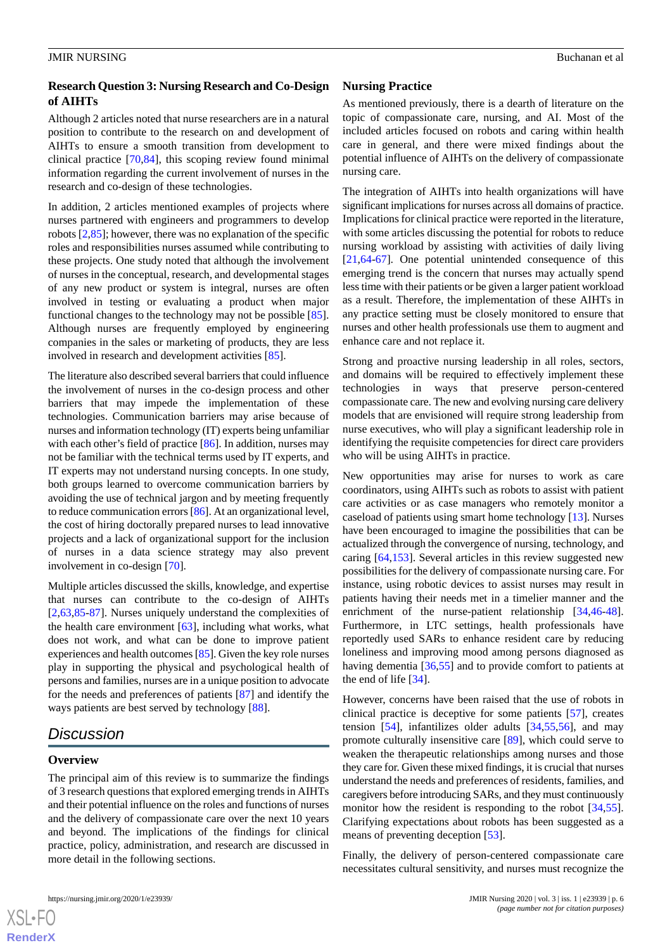# **Research Question 3: Nursing Research and Co-Design of AIHTs**

Although 2 articles noted that nurse researchers are in a natural position to contribute to the research on and development of AIHTs to ensure a smooth transition from development to clinical practice [[70](#page-10-12)[,84](#page-10-13)], this scoping review found minimal information regarding the current involvement of nurses in the research and co-design of these technologies.

In addition, 2 articles mentioned examples of projects where nurses partnered with engineers and programmers to develop robots [[2](#page-7-1)[,85](#page-10-14)]; however, there was no explanation of the specific roles and responsibilities nurses assumed while contributing to these projects. One study noted that although the involvement of nurses in the conceptual, research, and developmental stages of any new product or system is integral, nurses are often involved in testing or evaluating a product when major functional changes to the technology may not be possible [[85\]](#page-10-14). Although nurses are frequently employed by engineering companies in the sales or marketing of products, they are less involved in research and development activities [[85\]](#page-10-14).

The literature also described several barriers that could influence the involvement of nurses in the co-design process and other barriers that may impede the implementation of these technologies. Communication barriers may arise because of nurses and information technology (IT) experts being unfamiliar with each other's field of practice [[86\]](#page-10-15). In addition, nurses may not be familiar with the technical terms used by IT experts, and IT experts may not understand nursing concepts. In one study, both groups learned to overcome communication barriers by avoiding the use of technical jargon and by meeting frequently to reduce communication errors [[86\]](#page-10-15). At an organizational level, the cost of hiring doctorally prepared nurses to lead innovative projects and a lack of organizational support for the inclusion of nurses in a data science strategy may also prevent involvement in co-design [\[70](#page-10-12)].

Multiple articles discussed the skills, knowledge, and expertise that nurses can contribute to the co-design of AIHTs [[2](#page-7-1)[,63](#page-9-20),[85](#page-10-14)[-87](#page-10-16)]. Nurses uniquely understand the complexities of the health care environment [[63\]](#page-9-20), including what works, what does not work, and what can be done to improve patient experiences and health outcomes [\[85\]](#page-10-14). Given the key role nurses play in supporting the physical and psychological health of persons and families, nurses are in a unique position to advocate for the needs and preferences of patients [\[87](#page-10-16)] and identify the ways patients are best served by technology [[88\]](#page-11-0).

# *Discussion*

#### **Overview**

 $X$ SL•FO **[RenderX](http://www.renderx.com/)**

The principal aim of this review is to summarize the findings of 3 research questions that explored emerging trends in AIHTs and their potential influence on the roles and functions of nurses and the delivery of compassionate care over the next 10 years and beyond. The implications of the findings for clinical practice, policy, administration, and research are discussed in more detail in the following sections.

### **Nursing Practice**

As mentioned previously, there is a dearth of literature on the topic of compassionate care, nursing, and AI. Most of the included articles focused on robots and caring within health care in general, and there were mixed findings about the potential influence of AIHTs on the delivery of compassionate nursing care.

The integration of AIHTs into health organizations will have significant implications for nurses across all domains of practice. Implications for clinical practice were reported in the literature, with some articles discussing the potential for robots to reduce nursing workload by assisting with activities of daily living [[21,](#page-8-5)[64-](#page-9-21)[67\]](#page-10-0). One potential unintended consequence of this emerging trend is the concern that nurses may actually spend less time with their patients or be given a larger patient workload as a result. Therefore, the implementation of these AIHTs in any practice setting must be closely monitored to ensure that nurses and other health professionals use them to augment and enhance care and not replace it.

Strong and proactive nursing leadership in all roles, sectors, and domains will be required to effectively implement these technologies in ways that preserve person-centered compassionate care. The new and evolving nursing care delivery models that are envisioned will require strong leadership from nurse executives, who will play a significant leadership role in identifying the requisite competencies for direct care providers who will be using AIHTs in practice.

New opportunities may arise for nurses to work as care coordinators, using AIHTs such as robots to assist with patient care activities or as case managers who remotely monitor a caseload of patients using smart home technology [[13\]](#page-7-10). Nurses have been encouraged to imagine the possibilities that can be actualized through the convergence of nursing, technology, and caring [[64,](#page-9-21)[153](#page-13-1)]. Several articles in this review suggested new possibilities for the delivery of compassionate nursing care. For instance, using robotic devices to assist nurses may result in patients having their needs met in a timelier manner and the enrichment of the nurse-patient relationship [\[34](#page-8-16),[46-](#page-9-22)[48\]](#page-9-5). Furthermore, in LTC settings, health professionals have reportedly used SARs to enhance resident care by reducing loneliness and improving mood among persons diagnosed as having dementia [\[36](#page-8-17),[55\]](#page-9-13) and to provide comfort to patients at the end of life [\[34](#page-8-16)].

However, concerns have been raised that the use of robots in clinical practice is deceptive for some patients [\[57](#page-9-10)], creates tension [\[54](#page-9-12)], infantilizes older adults [[34](#page-8-16)[,55](#page-9-13),[56\]](#page-9-14), and may promote culturally insensitive care [[89\]](#page-11-1), which could serve to weaken the therapeutic relationships among nurses and those they care for. Given these mixed findings, it is crucial that nurses understand the needs and preferences of residents, families, and caregivers before introducing SARs, and they must continuously monitor how the resident is responding to the robot [\[34](#page-8-16),[55\]](#page-9-13). Clarifying expectations about robots has been suggested as a means of preventing deception [\[53](#page-9-11)].

Finally, the delivery of person-centered compassionate care necessitates cultural sensitivity, and nurses must recognize the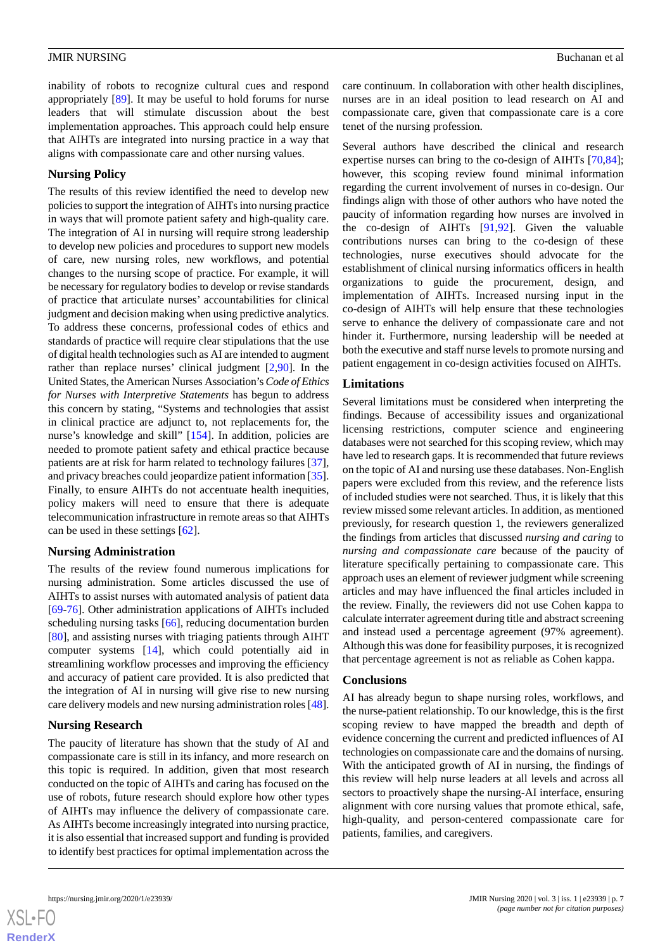inability of robots to recognize cultural cues and respond appropriately [\[89](#page-11-1)]. It may be useful to hold forums for nurse leaders that will stimulate discussion about the best implementation approaches. This approach could help ensure that AIHTs are integrated into nursing practice in a way that aligns with compassionate care and other nursing values.

#### **Nursing Policy**

The results of this review identified the need to develop new policies to support the integration of AIHTs into nursing practice in ways that will promote patient safety and high-quality care. The integration of AI in nursing will require strong leadership to develop new policies and procedures to support new models of care, new nursing roles, new workflows, and potential changes to the nursing scope of practice. For example, it will be necessary for regulatory bodies to develop or revise standards of practice that articulate nurses' accountabilities for clinical judgment and decision making when using predictive analytics. To address these concerns, professional codes of ethics and standards of practice will require clear stipulations that the use of digital health technologies such as AI are intended to augment rather than replace nurses' clinical judgment [\[2,](#page-7-1)[90\]](#page-11-2). In the United States, the American Nurses Association's *Code of Ethics for Nurses with Interpretive Statements* has begun to address this concern by stating, "Systems and technologies that assist in clinical practice are adjunct to, not replacements for, the nurse's knowledge and skill" [[154\]](#page-13-2). In addition, policies are needed to promote patient safety and ethical practice because patients are at risk for harm related to technology failures [[37\]](#page-8-20), and privacy breaches could jeopardize patient information [[35\]](#page-8-19). Finally, to ensure AIHTs do not accentuate health inequities, policy makers will need to ensure that there is adequate telecommunication infrastructure in remote areas so that AIHTs can be used in these settings [\[62](#page-9-19)].

#### **Nursing Administration**

The results of the review found numerous implications for nursing administration. Some articles discussed the use of AIHTs to assist nurses with automated analysis of patient data [[69](#page-10-2)[-76](#page-10-3)]. Other administration applications of AIHTs included scheduling nursing tasks [\[66](#page-10-6)], reducing documentation burden [[80\]](#page-10-7), and assisting nurses with triaging patients through AIHT computer systems [[14\]](#page-7-11), which could potentially aid in streamlining workflow processes and improving the efficiency and accuracy of patient care provided. It is also predicted that the integration of AI in nursing will give rise to new nursing care delivery models and new nursing administration roles [[48\]](#page-9-5).

#### **Nursing Research**

The paucity of literature has shown that the study of AI and compassionate care is still in its infancy, and more research on this topic is required. In addition, given that most research conducted on the topic of AIHTs and caring has focused on the use of robots, future research should explore how other types of AIHTs may influence the delivery of compassionate care. As AIHTs become increasingly integrated into nursing practice, it is also essential that increased support and funding is provided to identify best practices for optimal implementation across the

care continuum. In collaboration with other health disciplines, nurses are in an ideal position to lead research on AI and compassionate care, given that compassionate care is a core tenet of the nursing profession.

Several authors have described the clinical and research expertise nurses can bring to the co-design of AIHTs [\[70](#page-10-12),[84\]](#page-10-13); however, this scoping review found minimal information regarding the current involvement of nurses in co-design. Our findings align with those of other authors who have noted the paucity of information regarding how nurses are involved in the co-design of AIHTs [[91,](#page-11-3)[92](#page-11-4)]. Given the valuable contributions nurses can bring to the co-design of these technologies, nurse executives should advocate for the establishment of clinical nursing informatics officers in health organizations to guide the procurement, design, and implementation of AIHTs. Increased nursing input in the co-design of AIHTs will help ensure that these technologies serve to enhance the delivery of compassionate care and not hinder it. Furthermore, nursing leadership will be needed at both the executive and staff nurse levels to promote nursing and patient engagement in co-design activities focused on AIHTs.

#### **Limitations**

Several limitations must be considered when interpreting the findings. Because of accessibility issues and organizational licensing restrictions, computer science and engineering databases were not searched for this scoping review, which may have led to research gaps. It is recommended that future reviews on the topic of AI and nursing use these databases. Non-English papers were excluded from this review, and the reference lists of included studies were not searched. Thus, it is likely that this review missed some relevant articles. In addition, as mentioned previously, for research question 1, the reviewers generalized the findings from articles that discussed *nursing and caring* to *nursing and compassionate care* because of the paucity of literature specifically pertaining to compassionate care. This approach uses an element of reviewer judgment while screening articles and may have influenced the final articles included in the review. Finally, the reviewers did not use Cohen kappa to calculate interrater agreement during title and abstract screening and instead used a percentage agreement (97% agreement). Although this was done for feasibility purposes, it is recognized that percentage agreement is not as reliable as Cohen kappa.

#### **Conclusions**

AI has already begun to shape nursing roles, workflows, and the nurse-patient relationship. To our knowledge, this is the first scoping review to have mapped the breadth and depth of evidence concerning the current and predicted influences of AI technologies on compassionate care and the domains of nursing. With the anticipated growth of AI in nursing, the findings of this review will help nurse leaders at all levels and across all sectors to proactively shape the nursing-AI interface, ensuring alignment with core nursing values that promote ethical, safe, high-quality, and person-centered compassionate care for patients, families, and caregivers.

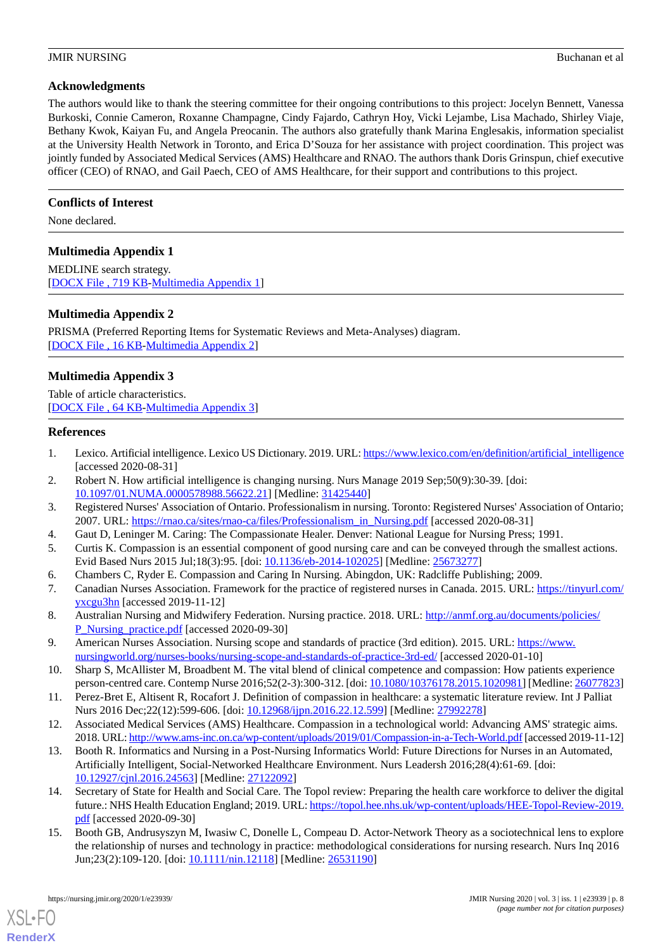### **Acknowledgments**

The authors would like to thank the steering committee for their ongoing contributions to this project: Jocelyn Bennett, Vanessa Burkoski, Connie Cameron, Roxanne Champagne, Cindy Fajardo, Cathryn Hoy, Vicki Lejambe, Lisa Machado, Shirley Viaje, Bethany Kwok, Kaiyan Fu, and Angela Preocanin. The authors also gratefully thank Marina Englesakis, information specialist at the University Health Network in Toronto, and Erica D'Souza for her assistance with project coordination. This project was jointly funded by Associated Medical Services (AMS) Healthcare and RNAO. The authors thank Doris Grinspun, chief executive officer (CEO) of RNAO, and Gail Paech, CEO of AMS Healthcare, for their support and contributions to this project.

# **Conflicts of Interest**

<span id="page-7-13"></span>None declared.

# **Multimedia Appendix 1**

<span id="page-7-14"></span>MEDLINE search strategy. [[DOCX File , 719 KB-Multimedia Appendix 1\]](https://jmir.org/api/download?alt_name=nursing_v3i1e23939_app1.docx&filename=5d52dd1a1e9cc2524660b43678036dd7.docx)

# **Multimedia Appendix 2**

<span id="page-7-15"></span>PRISMA (Preferred Reporting Items for Systematic Reviews and Meta-Analyses) diagram. [[DOCX File , 16 KB](https://jmir.org/api/download?alt_name=nursing_v3i1e23939_app2.docx&filename=af370e005b5ee79e15b8f3f0ea3624fd.docx)-[Multimedia Appendix 2\]](https://jmir.org/api/download?alt_name=nursing_v3i1e23939_app2.docx&filename=af370e005b5ee79e15b8f3f0ea3624fd.docx)

# **Multimedia Appendix 3**

<span id="page-7-0"></span>Table of article characteristics. [[DOCX File , 64 KB](https://jmir.org/api/download?alt_name=nursing_v3i1e23939_app3.docx&filename=dd2e379ccfe63d72ae530a7c6d0555ba.docx)-[Multimedia Appendix 3\]](https://jmir.org/api/download?alt_name=nursing_v3i1e23939_app3.docx&filename=dd2e379ccfe63d72ae530a7c6d0555ba.docx)

#### <span id="page-7-1"></span>**References**

- <span id="page-7-2"></span>1. Lexico. Artificial intelligence. Lexico US Dictionary. 2019. URL: [https://www.lexico.com/en/definition/artificial\\_intelligence](https://www.lexico.com/en/definition/artificial_intelligence) [accessed 2020-08-31]
- <span id="page-7-3"></span>2. Robert N. How artificial intelligence is changing nursing. Nurs Manage 2019 Sep;50(9):30-39. [doi: [10.1097/01.NUMA.0000578988.56622.21](http://dx.doi.org/10.1097/01.NUMA.0000578988.56622.21)] [Medline: [31425440](http://www.ncbi.nlm.nih.gov/entrez/query.fcgi?cmd=Retrieve&db=PubMed&list_uids=31425440&dopt=Abstract)]
- <span id="page-7-4"></span>3. Registered Nurses' Association of Ontario. Professionalism in nursing. Toronto: Registered Nurses' Association of Ontario; 2007. URL: https://mao.ca/sites/rnao-ca/files/Professionalism\_in\_Nursing.pdf [accessed 2020-08-31]
- <span id="page-7-5"></span>4. Gaut D, Leninger M. Caring: The Compassionate Healer. Denver: National League for Nursing Press; 1991.
- 5. Curtis K. Compassion is an essential component of good nursing care and can be conveyed through the smallest actions. Evid Based Nurs 2015 Jul;18(3):95. [doi: [10.1136/eb-2014-102025\]](http://dx.doi.org/10.1136/eb-2014-102025) [Medline: [25673277\]](http://www.ncbi.nlm.nih.gov/entrez/query.fcgi?cmd=Retrieve&db=PubMed&list_uids=25673277&dopt=Abstract)
- <span id="page-7-6"></span>6. Chambers C, Ryder E. Compassion and Caring In Nursing. Abingdon, UK: Radcliffe Publishing; 2009.
- 7. Canadian Nurses Association. Framework for the practice of registered nurses in Canada. 2015. URL: [https://tinyurl.com/](https://tinyurl.com/yxcgu3hn) [yxcgu3hn](https://tinyurl.com/yxcgu3hn) [accessed 2019-11-12]
- <span id="page-7-8"></span><span id="page-7-7"></span>8. Australian Nursing and Midwifery Federation. Nursing practice. 2018. URL: [http://anmf.org.au/documents/policies/](http://anmf.org.au/documents/policies/P_Nursing_practice.pdf) [P\\_Nursing\\_practice.pdf](http://anmf.org.au/documents/policies/P_Nursing_practice.pdf) [accessed 2020-09-30]
- <span id="page-7-9"></span>9. American Nurses Association. Nursing scope and standards of practice (3rd edition). 2015. URL: [https://www.](https://www.nursingworld.org/nurses-books/nursing-scope-and-standards-of-practice-3rd-ed/) [nursingworld.org/nurses-books/nursing-scope-and-standards-of-practice-3rd-ed/](https://www.nursingworld.org/nurses-books/nursing-scope-and-standards-of-practice-3rd-ed/) [accessed 2020-01-10]
- <span id="page-7-10"></span>10. Sharp S, McAllister M, Broadbent M. The vital blend of clinical competence and compassion: How patients experience person-centred care. Contemp Nurse 2016;52(2-3):300-312. [doi: [10.1080/10376178.2015.1020981\]](http://dx.doi.org/10.1080/10376178.2015.1020981) [Medline: [26077823](http://www.ncbi.nlm.nih.gov/entrez/query.fcgi?cmd=Retrieve&db=PubMed&list_uids=26077823&dopt=Abstract)]
- 11. Perez-Bret E, Altisent R, Rocafort J. Definition of compassion in healthcare: a systematic literature review. Int J Palliat Nurs 2016 Dec;22(12):599-606. [doi: [10.12968/ijpn.2016.22.12.599\]](http://dx.doi.org/10.12968/ijpn.2016.22.12.599) [Medline: [27992278\]](http://www.ncbi.nlm.nih.gov/entrez/query.fcgi?cmd=Retrieve&db=PubMed&list_uids=27992278&dopt=Abstract)
- <span id="page-7-11"></span>12. Associated Medical Services (AMS) Healthcare. Compassion in a technological world: Advancing AMS' strategic aims. 2018. URL:<http://www.ams-inc.on.ca/wp-content/uploads/2019/01/Compassion-in-a-Tech-World.pdf> [accessed 2019-11-12]
- <span id="page-7-12"></span>13. Booth R. Informatics and Nursing in a Post-Nursing Informatics World: Future Directions for Nurses in an Automated, Artificially Intelligent, Social-Networked Healthcare Environment. Nurs Leadersh 2016;28(4):61-69. [doi: [10.12927/cjnl.2016.24563\]](http://dx.doi.org/10.12927/cjnl.2016.24563) [Medline: [27122092\]](http://www.ncbi.nlm.nih.gov/entrez/query.fcgi?cmd=Retrieve&db=PubMed&list_uids=27122092&dopt=Abstract)
- 14. Secretary of State for Health and Social Care. The Topol review: Preparing the health care workforce to deliver the digital future.: NHS Health Education England; 2019. URL: [https://topol.hee.nhs.uk/wp-content/uploads/HEE-Topol-Review-2019.](https://topol.hee.nhs.uk/wp-content/uploads/HEE-Topol-Review-2019.pdf) [pdf](https://topol.hee.nhs.uk/wp-content/uploads/HEE-Topol-Review-2019.pdf) [accessed 2020-09-30]
- 15. Booth GB, Andrusyszyn M, Iwasiw C, Donelle L, Compeau D. Actor-Network Theory as a sociotechnical lens to explore the relationship of nurses and technology in practice: methodological considerations for nursing research. Nurs Inq 2016 Jun;23(2):109-120. [doi: [10.1111/nin.12118\]](http://dx.doi.org/10.1111/nin.12118) [Medline: [26531190\]](http://www.ncbi.nlm.nih.gov/entrez/query.fcgi?cmd=Retrieve&db=PubMed&list_uids=26531190&dopt=Abstract)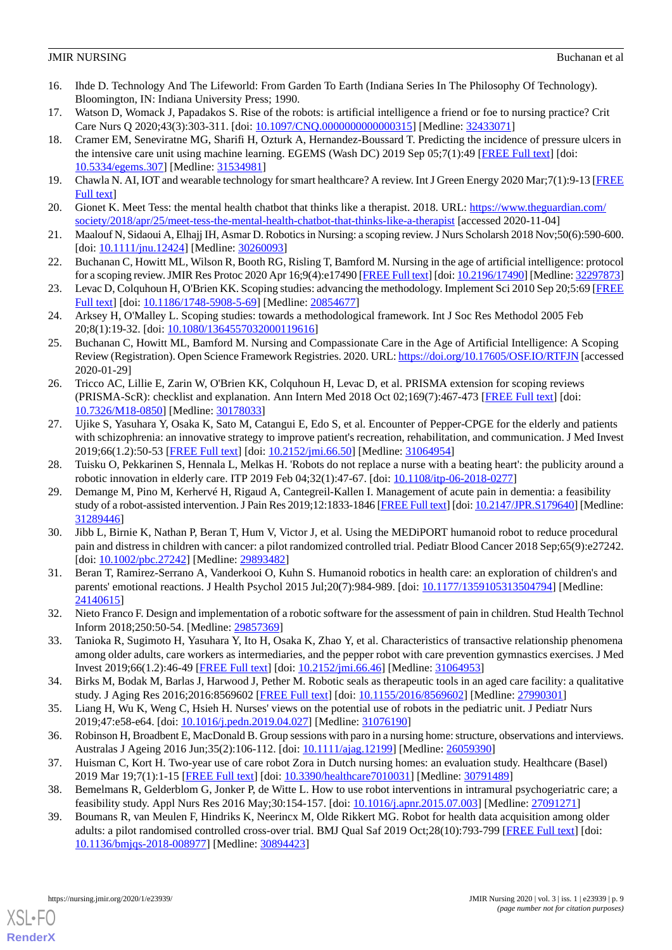- <span id="page-8-0"></span>16. Ihde D. Technology And The Lifeworld: From Garden To Earth (Indiana Series In The Philosophy Of Technology). Bloomington, IN: Indiana University Press; 1990.
- <span id="page-8-2"></span><span id="page-8-1"></span>17. Watson D, Womack J, Papadakos S. Rise of the robots: is artificial intelligence a friend or foe to nursing practice? Crit Care Nurs Q 2020;43(3):303-311. [doi: [10.1097/CNQ.0000000000000315](http://dx.doi.org/10.1097/CNQ.0000000000000315)] [Medline: [32433071](http://www.ncbi.nlm.nih.gov/entrez/query.fcgi?cmd=Retrieve&db=PubMed&list_uids=32433071&dopt=Abstract)]
- 18. Cramer EM, Seneviratne MG, Sharifi H, Ozturk A, Hernandez-Boussard T. Predicting the incidence of pressure ulcers in the intensive care unit using machine learning. EGEMS (Wash DC) 2019 Sep 05;7(1):49 [[FREE Full text](http://europepmc.org/abstract/MED/31534981)] [doi: [10.5334/egems.307\]](http://dx.doi.org/10.5334/egems.307) [Medline: [31534981](http://www.ncbi.nlm.nih.gov/entrez/query.fcgi?cmd=Retrieve&db=PubMed&list_uids=31534981&dopt=Abstract)]
- <span id="page-8-4"></span><span id="page-8-3"></span>19. Chawla N. AI, IOT and wearable technology for smart healthcare? A review. Int J Green Energy 2020 Mar;7(1):9-13 [\[FREE](https://www.academia.edu/42291101/AI_IOT_and_Wearable_Technology_for_Smart_Healthcare_A_Review) [Full text\]](https://www.academia.edu/42291101/AI_IOT_and_Wearable_Technology_for_Smart_Healthcare_A_Review)
- <span id="page-8-5"></span>20. Gionet K. Meet Tess: the mental health chatbot that thinks like a therapist. 2018. URL: [https://www.theguardian.com/](https://www.theguardian.com/society/2018/apr/25/meet-tess-the-mental-health-chatbot-that-thinks-like-a-therapist) [society/2018/apr/25/meet-tess-the-mental-health-chatbot-that-thinks-like-a-therapist](https://www.theguardian.com/society/2018/apr/25/meet-tess-the-mental-health-chatbot-that-thinks-like-a-therapist) [accessed 2020-11-04]
- <span id="page-8-6"></span>21. Maalouf N, Sidaoui A, Elhajj IH, Asmar D. Robotics in Nursing: a scoping review. J Nurs Scholarsh 2018 Nov;50(6):590-600. [doi: [10.1111/jnu.12424\]](http://dx.doi.org/10.1111/jnu.12424) [Medline: [30260093](http://www.ncbi.nlm.nih.gov/entrez/query.fcgi?cmd=Retrieve&db=PubMed&list_uids=30260093&dopt=Abstract)]
- <span id="page-8-7"></span>22. Buchanan C, Howitt ML, Wilson R, Booth RG, Risling T, Bamford M. Nursing in the age of artificial intelligence: protocol for a scoping review. JMIR Res Protoc 2020 Apr 16;9(4):e17490 [\[FREE Full text\]](https://www.researchprotocols.org/2020/4/e17490/) [doi: [10.2196/17490](http://dx.doi.org/10.2196/17490)] [Medline: [32297873\]](http://www.ncbi.nlm.nih.gov/entrez/query.fcgi?cmd=Retrieve&db=PubMed&list_uids=32297873&dopt=Abstract)
- <span id="page-8-8"></span>23. Levac D, Colquhoun H, O'Brien KK. Scoping studies: advancing the methodology. Implement Sci 2010 Sep 20;5:69 [\[FREE](https://implementationscience.biomedcentral.com/articles/10.1186/1748-5908-5-69) [Full text\]](https://implementationscience.biomedcentral.com/articles/10.1186/1748-5908-5-69) [doi: [10.1186/1748-5908-5-69\]](http://dx.doi.org/10.1186/1748-5908-5-69) [Medline: [20854677](http://www.ncbi.nlm.nih.gov/entrez/query.fcgi?cmd=Retrieve&db=PubMed&list_uids=20854677&dopt=Abstract)]
- <span id="page-8-9"></span>24. Arksey H, O'Malley L. Scoping studies: towards a methodological framework. Int J Soc Res Methodol 2005 Feb 20;8(1):19-32. [doi: [10.1080/1364557032000119616\]](http://dx.doi.org/10.1080/1364557032000119616)
- <span id="page-8-10"></span>25. Buchanan C, Howitt ML, Bamford M. Nursing and Compassionate Care in the Age of Artificial Intelligence: A Scoping Review (Registration). Open Science Framework Registries. 2020. URL:<https://doi.org/10.17605/OSF.IO/RTFJN> [accessed 2020-01-29]
- <span id="page-8-11"></span>26. Tricco AC, Lillie E, Zarin W, O'Brien KK, Colquhoun H, Levac D, et al. PRISMA extension for scoping reviews (PRISMA-ScR): checklist and explanation. Ann Intern Med 2018 Oct 02;169(7):467-473 [[FREE Full text](https://www.acpjournals.org/doi/10.7326/M18-0850?url_ver=Z39.88-2003&rfr_id=ori:rid:crossref.org&rfr_dat=cr_pub%3dpubmed)] [doi: [10.7326/M18-0850](http://dx.doi.org/10.7326/M18-0850)] [Medline: [30178033\]](http://www.ncbi.nlm.nih.gov/entrez/query.fcgi?cmd=Retrieve&db=PubMed&list_uids=30178033&dopt=Abstract)
- <span id="page-8-13"></span><span id="page-8-12"></span>27. Ujike S, Yasuhara Y, Osaka K, Sato M, Catangui E, Edo S, et al. Encounter of Pepper-CPGE for the elderly and patients with schizophrenia: an innovative strategy to improve patient's recreation, rehabilitation, and communication. J Med Invest 2019;66(1.2):50-53 [\[FREE Full text\]](https://dx.doi.org/10.2152/jmi.66.50) [doi: [10.2152/jmi.66.50\]](http://dx.doi.org/10.2152/jmi.66.50) [Medline: [31064954](http://www.ncbi.nlm.nih.gov/entrez/query.fcgi?cmd=Retrieve&db=PubMed&list_uids=31064954&dopt=Abstract)]
- 28. Tuisku O, Pekkarinen S, Hennala L, Melkas H. 'Robots do not replace a nurse with a beating heart': the publicity around a robotic innovation in elderly care. ITP 2019 Feb 04;32(1):47-67. [doi: [10.1108/itp-06-2018-0277\]](http://dx.doi.org/10.1108/itp-06-2018-0277)
- 29. Demange M, Pino M, Kerhervé H, Rigaud A, Cantegreil-Kallen I. Management of acute pain in dementia: a feasibility study of a robot-assisted intervention. J Pain Res 2019;12:1833-1846 [[FREE Full text\]](https://dx.doi.org/10.2147/JPR.S179640) [doi: [10.2147/JPR.S179640\]](http://dx.doi.org/10.2147/JPR.S179640) [Medline: [31289446](http://www.ncbi.nlm.nih.gov/entrez/query.fcgi?cmd=Retrieve&db=PubMed&list_uids=31289446&dopt=Abstract)]
- <span id="page-8-14"></span>30. Jibb L, Birnie K, Nathan P, Beran T, Hum V, Victor J, et al. Using the MEDiPORT humanoid robot to reduce procedural pain and distress in children with cancer: a pilot randomized controlled trial. Pediatr Blood Cancer 2018 Sep;65(9):e27242. [doi: [10.1002/pbc.27242](http://dx.doi.org/10.1002/pbc.27242)] [Medline: [29893482\]](http://www.ncbi.nlm.nih.gov/entrez/query.fcgi?cmd=Retrieve&db=PubMed&list_uids=29893482&dopt=Abstract)
- <span id="page-8-15"></span>31. Beran T, Ramirez-Serrano A, Vanderkooi O, Kuhn S. Humanoid robotics in health care: an exploration of children's and parents' emotional reactions. J Health Psychol 2015 Jul;20(7):984-989. [doi: [10.1177/1359105313504794](http://dx.doi.org/10.1177/1359105313504794)] [Medline: [24140615](http://www.ncbi.nlm.nih.gov/entrez/query.fcgi?cmd=Retrieve&db=PubMed&list_uids=24140615&dopt=Abstract)]
- <span id="page-8-16"></span>32. Nieto Franco F. Design and implementation of a robotic software for the assessment of pain in children. Stud Health Technol Inform 2018;250:50-54. [Medline: [29857369\]](http://www.ncbi.nlm.nih.gov/entrez/query.fcgi?cmd=Retrieve&db=PubMed&list_uids=29857369&dopt=Abstract)
- <span id="page-8-19"></span>33. Tanioka R, Sugimoto H, Yasuhara Y, Ito H, Osaka K, Zhao Y, et al. Characteristics of transactive relationship phenomena among older adults, care workers as intermediaries, and the pepper robot with care prevention gymnastics exercises. J Med Invest 2019;66(1.2):46-49 [[FREE Full text](https://dx.doi.org/10.2152/jmi.66.46)] [doi: [10.2152/jmi.66.46](http://dx.doi.org/10.2152/jmi.66.46)] [Medline: [31064953\]](http://www.ncbi.nlm.nih.gov/entrez/query.fcgi?cmd=Retrieve&db=PubMed&list_uids=31064953&dopt=Abstract)
- <span id="page-8-20"></span><span id="page-8-17"></span>34. Birks M, Bodak M, Barlas J, Harwood J, Pether M. Robotic seals as therapeutic tools in an aged care facility: a qualitative study. J Aging Res 2016;2016:8569602 [\[FREE Full text\]](https://doi.org/10.1155/2016/8569602) [doi: [10.1155/2016/8569602](http://dx.doi.org/10.1155/2016/8569602)] [Medline: [27990301\]](http://www.ncbi.nlm.nih.gov/entrez/query.fcgi?cmd=Retrieve&db=PubMed&list_uids=27990301&dopt=Abstract)
- 35. Liang H, Wu K, Weng C, Hsieh H. Nurses' views on the potential use of robots in the pediatric unit. J Pediatr Nurs 2019;47:e58-e64. [doi: [10.1016/j.pedn.2019.04.027](http://dx.doi.org/10.1016/j.pedn.2019.04.027)] [Medline: [31076190\]](http://www.ncbi.nlm.nih.gov/entrez/query.fcgi?cmd=Retrieve&db=PubMed&list_uids=31076190&dopt=Abstract)
- <span id="page-8-18"></span>36. Robinson H, Broadbent E, MacDonald B. Group sessions with paro in a nursing home: structure, observations and interviews. Australas J Ageing 2016 Jun;35(2):106-112. [doi: [10.1111/ajag.12199\]](http://dx.doi.org/10.1111/ajag.12199) [Medline: [26059390\]](http://www.ncbi.nlm.nih.gov/entrez/query.fcgi?cmd=Retrieve&db=PubMed&list_uids=26059390&dopt=Abstract)
- 37. Huisman C, Kort H. Two-year use of care robot Zora in Dutch nursing homes: an evaluation study. Healthcare (Basel) 2019 Mar 19;7(1):1-15 [[FREE Full text\]](https://www.mdpi.com/resolver?pii=healthcare7010031) [doi: [10.3390/healthcare7010031\]](http://dx.doi.org/10.3390/healthcare7010031) [Medline: [30791489](http://www.ncbi.nlm.nih.gov/entrez/query.fcgi?cmd=Retrieve&db=PubMed&list_uids=30791489&dopt=Abstract)]
- 38. Bemelmans R, Gelderblom G, Jonker P, de Witte L. How to use robot interventions in intramural psychogeriatric care; a feasibility study. Appl Nurs Res 2016 May;30:154-157. [doi: [10.1016/j.apnr.2015.07.003](http://dx.doi.org/10.1016/j.apnr.2015.07.003)] [Medline: [27091271](http://www.ncbi.nlm.nih.gov/entrez/query.fcgi?cmd=Retrieve&db=PubMed&list_uids=27091271&dopt=Abstract)]
- 39. Boumans R, van Meulen F, Hindriks K, Neerincx M, Olde Rikkert MG. Robot for health data acquisition among older adults: a pilot randomised controlled cross-over trial. BMJ Qual Saf 2019 Oct;28(10):793-799 [[FREE Full text](http://qualitysafety.bmj.com/lookup/pmidlookup?view=long&pmid=30894423)] [doi: [10.1136/bmjqs-2018-008977\]](http://dx.doi.org/10.1136/bmjqs-2018-008977) [Medline: [30894423\]](http://www.ncbi.nlm.nih.gov/entrez/query.fcgi?cmd=Retrieve&db=PubMed&list_uids=30894423&dopt=Abstract)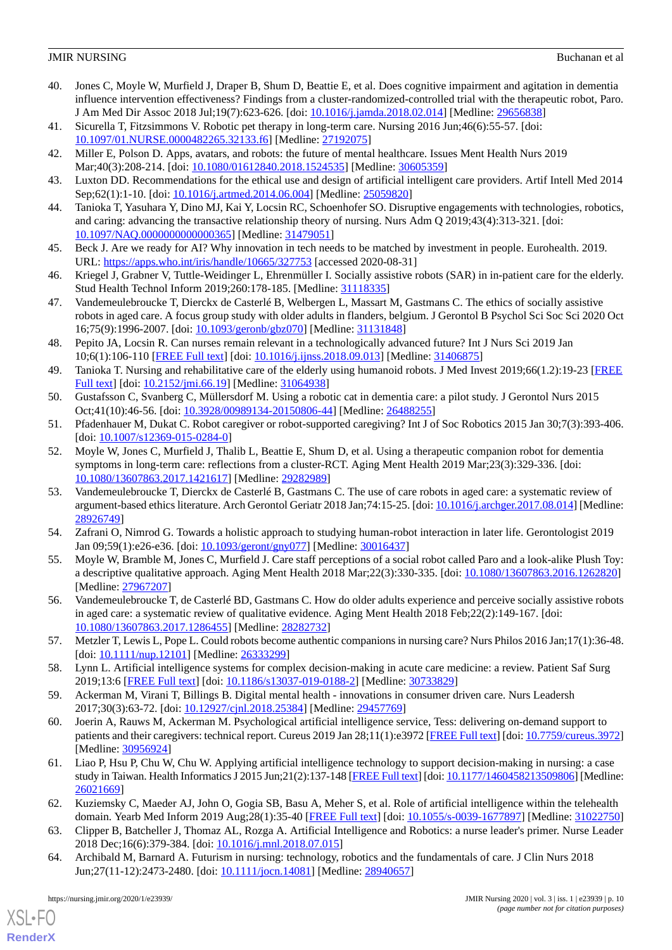- 40. Jones C, Moyle W, Murfield J, Draper B, Shum D, Beattie E, et al. Does cognitive impairment and agitation in dementia influence intervention effectiveness? Findings from a cluster-randomized-controlled trial with the therapeutic robot, Paro. J Am Med Dir Assoc 2018 Jul;19(7):623-626. [doi: [10.1016/j.jamda.2018.02.014\]](http://dx.doi.org/10.1016/j.jamda.2018.02.014) [Medline: [29656838](http://www.ncbi.nlm.nih.gov/entrez/query.fcgi?cmd=Retrieve&db=PubMed&list_uids=29656838&dopt=Abstract)]
- <span id="page-9-1"></span><span id="page-9-0"></span>41. Sicurella T, Fitzsimmons V. Robotic pet therapy in long-term care. Nursing 2016 Jun;46(6):55-57. [doi: [10.1097/01.NURSE.0000482265.32133.f6\]](http://dx.doi.org/10.1097/01.NURSE.0000482265.32133.f6) [Medline: [27192075\]](http://www.ncbi.nlm.nih.gov/entrez/query.fcgi?cmd=Retrieve&db=PubMed&list_uids=27192075&dopt=Abstract)
- <span id="page-9-2"></span>42. Miller E, Polson D. Apps, avatars, and robots: the future of mental healthcare. Issues Ment Health Nurs 2019 Mar;40(3):208-214. [doi: [10.1080/01612840.2018.1524535](http://dx.doi.org/10.1080/01612840.2018.1524535)] [Medline: [30605359](http://www.ncbi.nlm.nih.gov/entrez/query.fcgi?cmd=Retrieve&db=PubMed&list_uids=30605359&dopt=Abstract)]
- <span id="page-9-3"></span>43. Luxton DD. Recommendations for the ethical use and design of artificial intelligent care providers. Artif Intell Med 2014 Sep;62(1):1-10. [doi: [10.1016/j.artmed.2014.06.004](http://dx.doi.org/10.1016/j.artmed.2014.06.004)] [Medline: [25059820](http://www.ncbi.nlm.nih.gov/entrez/query.fcgi?cmd=Retrieve&db=PubMed&list_uids=25059820&dopt=Abstract)]
- <span id="page-9-4"></span>44. Tanioka T, Yasuhara Y, Dino MJ, Kai Y, Locsin RC, Schoenhofer SO. Disruptive engagements with technologies, robotics, and caring: advancing the transactive relationship theory of nursing. Nurs Adm Q 2019;43(4):313-321. [doi: [10.1097/NAQ.0000000000000365](http://dx.doi.org/10.1097/NAQ.0000000000000365)] [Medline: [31479051\]](http://www.ncbi.nlm.nih.gov/entrez/query.fcgi?cmd=Retrieve&db=PubMed&list_uids=31479051&dopt=Abstract)
- <span id="page-9-22"></span>45. Beck J. Are we ready for AI? Why innovation in tech needs to be matched by investment in people. Eurohealth. 2019. URL: <https://apps.who.int/iris/handle/10665/327753> [accessed 2020-08-31]
- 46. Kriegel J, Grabner V, Tuttle-Weidinger L, Ehrenmüller I. Socially assistive robots (SAR) in in-patient care for the elderly. Stud Health Technol Inform 2019;260:178-185. [Medline: [31118335](http://www.ncbi.nlm.nih.gov/entrez/query.fcgi?cmd=Retrieve&db=PubMed&list_uids=31118335&dopt=Abstract)]
- <span id="page-9-5"></span>47. Vandemeulebroucke T, Dierckx de Casterlé B, Welbergen L, Massart M, Gastmans C. The ethics of socially assistive robots in aged care. A focus group study with older adults in flanders, belgium. J Gerontol B Psychol Sci Soc Sci 2020 Oct 16;75(9):1996-2007. [doi: [10.1093/geronb/gbz070\]](http://dx.doi.org/10.1093/geronb/gbz070) [Medline: [31131848](http://www.ncbi.nlm.nih.gov/entrez/query.fcgi?cmd=Retrieve&db=PubMed&list_uids=31131848&dopt=Abstract)]
- <span id="page-9-6"></span>48. Pepito JA, Locsin R. Can nurses remain relevant in a technologically advanced future? Int J Nurs Sci 2019 Jan 10;6(1):106-110 [[FREE Full text](https://linkinghub.elsevier.com/retrieve/pii/S2352-0132(18)30176-5)] [doi: [10.1016/j.ijnss.2018.09.013\]](http://dx.doi.org/10.1016/j.ijnss.2018.09.013) [Medline: [31406875\]](http://www.ncbi.nlm.nih.gov/entrez/query.fcgi?cmd=Retrieve&db=PubMed&list_uids=31406875&dopt=Abstract)
- <span id="page-9-8"></span><span id="page-9-7"></span>49. Tanioka T. Nursing and rehabilitative care of the elderly using humanoid robots. J Med Invest 2019;66(1.2):19-23 [\[FREE](https://dx.doi.org/10.2152/jmi.66.19) [Full text\]](https://dx.doi.org/10.2152/jmi.66.19) [doi: [10.2152/jmi.66.19\]](http://dx.doi.org/10.2152/jmi.66.19) [Medline: [31064938\]](http://www.ncbi.nlm.nih.gov/entrez/query.fcgi?cmd=Retrieve&db=PubMed&list_uids=31064938&dopt=Abstract)
- <span id="page-9-9"></span>50. Gustafsson C, Svanberg C, Müllersdorf M. Using a robotic cat in dementia care: a pilot study. J Gerontol Nurs 2015 Oct;41(10):46-56. [doi: [10.3928/00989134-20150806-44\]](http://dx.doi.org/10.3928/00989134-20150806-44) [Medline: [26488255\]](http://www.ncbi.nlm.nih.gov/entrez/query.fcgi?cmd=Retrieve&db=PubMed&list_uids=26488255&dopt=Abstract)
- 51. Pfadenhauer M, Dukat C. Robot caregiver or robot-supported caregiving? Int J of Soc Robotics 2015 Jan 30;7(3):393-406. [doi: [10.1007/s12369-015-0284-0](http://dx.doi.org/10.1007/s12369-015-0284-0)]
- <span id="page-9-11"></span>52. Moyle W, Jones C, Murfield J, Thalib L, Beattie E, Shum D, et al. Using a therapeutic companion robot for dementia symptoms in long-term care: reflections from a cluster-RCT. Aging Ment Health 2019 Mar;23(3):329-336. [doi: [10.1080/13607863.2017.1421617\]](http://dx.doi.org/10.1080/13607863.2017.1421617) [Medline: [29282989\]](http://www.ncbi.nlm.nih.gov/entrez/query.fcgi?cmd=Retrieve&db=PubMed&list_uids=29282989&dopt=Abstract)
- <span id="page-9-13"></span><span id="page-9-12"></span>53. Vandemeulebroucke T, Dierckx de Casterlé B, Gastmans C. The use of care robots in aged care: a systematic review of argument-based ethics literature. Arch Gerontol Geriatr 2018 Jan;74:15-25. [doi: [10.1016/j.archger.2017.08.014](http://dx.doi.org/10.1016/j.archger.2017.08.014)] [Medline: [28926749](http://www.ncbi.nlm.nih.gov/entrez/query.fcgi?cmd=Retrieve&db=PubMed&list_uids=28926749&dopt=Abstract)]
- <span id="page-9-14"></span>54. Zafrani O, Nimrod G. Towards a holistic approach to studying human-robot interaction in later life. Gerontologist 2019 Jan 09;59(1):e26-e36. [doi: [10.1093/geront/gny077\]](http://dx.doi.org/10.1093/geront/gny077) [Medline: [30016437](http://www.ncbi.nlm.nih.gov/entrez/query.fcgi?cmd=Retrieve&db=PubMed&list_uids=30016437&dopt=Abstract)]
- <span id="page-9-10"></span>55. Moyle W, Bramble M, Jones C, Murfield J. Care staff perceptions of a social robot called Paro and a look-alike Plush Toy: a descriptive qualitative approach. Aging Ment Health 2018 Mar;22(3):330-335. [doi: [10.1080/13607863.2016.1262820](http://dx.doi.org/10.1080/13607863.2016.1262820)] [Medline: [27967207](http://www.ncbi.nlm.nih.gov/entrez/query.fcgi?cmd=Retrieve&db=PubMed&list_uids=27967207&dopt=Abstract)]
- <span id="page-9-15"></span>56. Vandemeulebroucke T, de Casterlé BD, Gastmans C. How do older adults experience and perceive socially assistive robots in aged care: a systematic review of qualitative evidence. Aging Ment Health 2018 Feb;22(2):149-167. [doi: [10.1080/13607863.2017.1286455\]](http://dx.doi.org/10.1080/13607863.2017.1286455) [Medline: [28282732\]](http://www.ncbi.nlm.nih.gov/entrez/query.fcgi?cmd=Retrieve&db=PubMed&list_uids=28282732&dopt=Abstract)
- <span id="page-9-17"></span><span id="page-9-16"></span>57. Metzler T, Lewis L, Pope L. Could robots become authentic companions in nursing care? Nurs Philos 2016 Jan;17(1):36-48. [doi: [10.1111/nup.12101\]](http://dx.doi.org/10.1111/nup.12101) [Medline: [26333299\]](http://www.ncbi.nlm.nih.gov/entrez/query.fcgi?cmd=Retrieve&db=PubMed&list_uids=26333299&dopt=Abstract)
- 58. Lynn L. Artificial intelligence systems for complex decision-making in acute care medicine: a review. Patient Saf Surg 2019;13:6 [[FREE Full text](https://pssjournal.biomedcentral.com/articles/10.1186/s13037-019-0188-2)] [doi: [10.1186/s13037-019-0188-2\]](http://dx.doi.org/10.1186/s13037-019-0188-2) [Medline: [30733829](http://www.ncbi.nlm.nih.gov/entrez/query.fcgi?cmd=Retrieve&db=PubMed&list_uids=30733829&dopt=Abstract)]
- <span id="page-9-18"></span>59. Ackerman M, Virani T, Billings B. Digital mental health - innovations in consumer driven care. Nurs Leadersh 2017;30(3):63-72. [doi: [10.12927/cjnl.2018.25384\]](http://dx.doi.org/10.12927/cjnl.2018.25384) [Medline: [29457769](http://www.ncbi.nlm.nih.gov/entrez/query.fcgi?cmd=Retrieve&db=PubMed&list_uids=29457769&dopt=Abstract)]
- <span id="page-9-19"></span>60. Joerin A, Rauws M, Ackerman M. Psychological artificial intelligence service, Tess: delivering on-demand support to patients and their caregivers: technical report. Cureus 2019 Jan 28;11(1):e3972 [[FREE Full text](http://europepmc.org/abstract/MED/30956924)] [doi: [10.7759/cureus.3972\]](http://dx.doi.org/10.7759/cureus.3972) [Medline: [30956924](http://www.ncbi.nlm.nih.gov/entrez/query.fcgi?cmd=Retrieve&db=PubMed&list_uids=30956924&dopt=Abstract)]
- <span id="page-9-21"></span><span id="page-9-20"></span>61. Liao P, Hsu P, Chu W, Chu W. Applying artificial intelligence technology to support decision-making in nursing: a case study in Taiwan. Health Informatics J 2015 Jun; 21(2): 137-148 [\[FREE Full text](https://journals.sagepub.com/doi/10.1177/1460458213509806?url_ver=Z39.88-2003&rfr_id=ori:rid:crossref.org&rfr_dat=cr_pub%3dpubmed)] [doi: [10.1177/1460458213509806](http://dx.doi.org/10.1177/1460458213509806)] [Medline: [26021669](http://www.ncbi.nlm.nih.gov/entrez/query.fcgi?cmd=Retrieve&db=PubMed&list_uids=26021669&dopt=Abstract)]
- 62. Kuziemsky C, Maeder AJ, John O, Gogia SB, Basu A, Meher S, et al. Role of artificial intelligence within the telehealth domain. Yearb Med Inform 2019 Aug;28(1):35-40 [[FREE Full text](http://www.thieme-connect.com/DOI/DOI?10.1055/s-0039-1677897)] [doi: [10.1055/s-0039-1677897\]](http://dx.doi.org/10.1055/s-0039-1677897) [Medline: [31022750](http://www.ncbi.nlm.nih.gov/entrez/query.fcgi?cmd=Retrieve&db=PubMed&list_uids=31022750&dopt=Abstract)]
- 63. Clipper B, Batcheller J, Thomaz AL, Rozga A. Artificial Intelligence and Robotics: a nurse leader's primer. Nurse Leader 2018 Dec;16(6):379-384. [doi: [10.1016/j.mnl.2018.07.015\]](http://dx.doi.org/10.1016/j.mnl.2018.07.015)
- 64. Archibald M, Barnard A. Futurism in nursing: technology, robotics and the fundamentals of care. J Clin Nurs 2018 Jun;27(11-12):2473-2480. [doi: [10.1111/jocn.14081\]](http://dx.doi.org/10.1111/jocn.14081) [Medline: [28940657\]](http://www.ncbi.nlm.nih.gov/entrez/query.fcgi?cmd=Retrieve&db=PubMed&list_uids=28940657&dopt=Abstract)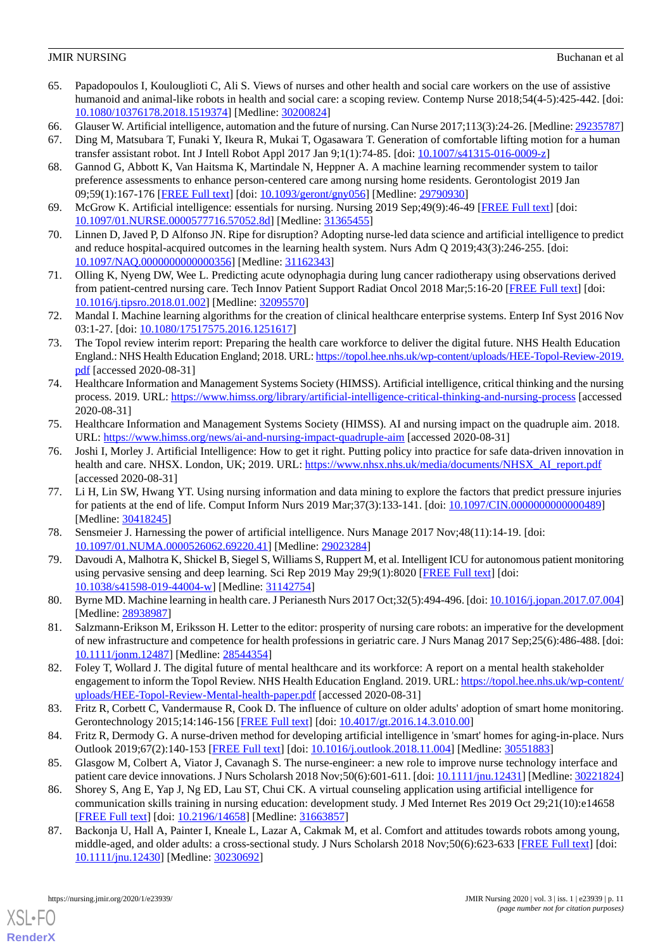- 65. Papadopoulos I, Koulouglioti C, Ali S. Views of nurses and other health and social care workers on the use of assistive humanoid and animal-like robots in health and social care: a scoping review. Contemp Nurse 2018;54(4-5):425-442. [doi: [10.1080/10376178.2018.1519374\]](http://dx.doi.org/10.1080/10376178.2018.1519374) [Medline: [30200824\]](http://www.ncbi.nlm.nih.gov/entrez/query.fcgi?cmd=Retrieve&db=PubMed&list_uids=30200824&dopt=Abstract)
- <span id="page-10-6"></span><span id="page-10-0"></span>66. Glauser W. Artificial intelligence, automation and the future of nursing. Can Nurse 2017;113(3):24-26. [Medline: [29235787](http://www.ncbi.nlm.nih.gov/entrez/query.fcgi?cmd=Retrieve&db=PubMed&list_uids=29235787&dopt=Abstract)]
- <span id="page-10-1"></span>67. Ding M, Matsubara T, Funaki Y, Ikeura R, Mukai T, Ogasawara T. Generation of comfortable lifting motion for a human transfer assistant robot. Int J Intell Robot Appl 2017 Jan 9;1(1):74-85. [doi: [10.1007/s41315-016-0009-z\]](http://dx.doi.org/10.1007/s41315-016-0009-z)
- 68. Gannod G, Abbott K, Van Haitsma K, Martindale N, Heppner A. A machine learning recommender system to tailor preference assessments to enhance person-centered care among nursing home residents. Gerontologist 2019 Jan 09;59(1):167-176 [[FREE Full text](http://europepmc.org/abstract/MED/29790930)] [doi: [10.1093/geront/gny056](http://dx.doi.org/10.1093/geront/gny056)] [Medline: [29790930\]](http://www.ncbi.nlm.nih.gov/entrez/query.fcgi?cmd=Retrieve&db=PubMed&list_uids=29790930&dopt=Abstract)
- <span id="page-10-12"></span><span id="page-10-2"></span>69. McGrow K. Artificial intelligence: essentials for nursing. Nursing 2019 Sep;49(9):46-49 [[FREE Full text](http://europepmc.org/abstract/MED/31365455)] [doi: [10.1097/01.NURSE.0000577716.57052.8d\]](http://dx.doi.org/10.1097/01.NURSE.0000577716.57052.8d) [Medline: [31365455](http://www.ncbi.nlm.nih.gov/entrez/query.fcgi?cmd=Retrieve&db=PubMed&list_uids=31365455&dopt=Abstract)]
- 70. Linnen D, Javed P, D Alfonso JN. Ripe for disruption? Adopting nurse-led data science and artificial intelligence to predict and reduce hospital-acquired outcomes in the learning health system. Nurs Adm Q 2019;43(3):246-255. [doi: [10.1097/NAQ.0000000000000356](http://dx.doi.org/10.1097/NAQ.0000000000000356)] [Medline: [31162343\]](http://www.ncbi.nlm.nih.gov/entrez/query.fcgi?cmd=Retrieve&db=PubMed&list_uids=31162343&dopt=Abstract)
- 71. Olling K, Nyeng DW, Wee L. Predicting acute odynophagia during lung cancer radiotherapy using observations derived from patient-centred nursing care. Tech Innov Patient Support Radiat Oncol 2018 Mar;5:16-20 [\[FREE Full text\]](https://linkinghub.elsevier.com/retrieve/pii/S2405-6324(17)30014-8) [doi: [10.1016/j.tipsro.2018.01.002](http://dx.doi.org/10.1016/j.tipsro.2018.01.002)] [Medline: [32095570](http://www.ncbi.nlm.nih.gov/entrez/query.fcgi?cmd=Retrieve&db=PubMed&list_uids=32095570&dopt=Abstract)]
- <span id="page-10-8"></span>72. Mandal I. Machine learning algorithms for the creation of clinical healthcare enterprise systems. Enterp Inf Syst 2016 Nov 03:1-27. [doi: [10.1080/17517575.2016.1251617](http://dx.doi.org/10.1080/17517575.2016.1251617)]
- 73. The Topol review interim report: Preparing the health care workforce to deliver the digital future. NHS Health Education England.: NHS Health Education England; 2018. URL: [https://topol.hee.nhs.uk/wp-content/uploads/HEE-Topol-Review-2019.](https://topol.hee.nhs.uk/wp-content/uploads/HEE-Topol-Review-2019.pdf) [pdf](https://topol.hee.nhs.uk/wp-content/uploads/HEE-Topol-Review-2019.pdf) [accessed 2020-08-31]
- 74. Healthcare Information and Management Systems Society (HIMSS). Artificial intelligence, critical thinking and the nursing process. 2019. URL: <https://www.himss.org/library/artificial-intelligence-critical-thinking-and-nursing-process> [accessed 2020-08-31]
- <span id="page-10-3"></span>75. Healthcare Information and Management Systems Society (HIMSS). AI and nursing impact on the quadruple aim. 2018. URL: <https://www.himss.org/news/ai-and-nursing-impact-quadruple-aim> [accessed 2020-08-31]
- <span id="page-10-4"></span>76. Joshi I, Morley J. Artificial Intelligence: How to get it right. Putting policy into practice for safe data-driven innovation in health and care. NHSX. London, UK; 2019. URL: [https://www.nhsx.nhs.uk/media/documents/NHSX\\_AI\\_report.pdf](https://www.nhsx.nhs.uk/media/documents/NHSX_AI_report.pdf) [accessed 2020-08-31]
- <span id="page-10-5"></span>77. Li H, Lin SW, Hwang YT. Using nursing information and data mining to explore the factors that predict pressure injuries for patients at the end of life. Comput Inform Nurs 2019 Mar;37(3):133-141. [doi: [10.1097/CIN.0000000000000489\]](http://dx.doi.org/10.1097/CIN.0000000000000489) [Medline: [30418245](http://www.ncbi.nlm.nih.gov/entrez/query.fcgi?cmd=Retrieve&db=PubMed&list_uids=30418245&dopt=Abstract)]
- <span id="page-10-7"></span>78. Sensmeier J. Harnessing the power of artificial intelligence. Nurs Manage 2017 Nov;48(11):14-19. [doi: [10.1097/01.NUMA.0000526062.69220.41](http://dx.doi.org/10.1097/01.NUMA.0000526062.69220.41)] [Medline: [29023284](http://www.ncbi.nlm.nih.gov/entrez/query.fcgi?cmd=Retrieve&db=PubMed&list_uids=29023284&dopt=Abstract)]
- <span id="page-10-9"></span>79. Davoudi A, Malhotra K, Shickel B, Siegel S, Williams S, Ruppert M, et al. Intelligent ICU for autonomous patient monitoring using pervasive sensing and deep learning. Sci Rep 2019 May 29;9(1):8020 [[FREE Full text](https://doi.org/10.1038/s41598-019-44004-w)] [doi: [10.1038/s41598-019-44004-w\]](http://dx.doi.org/10.1038/s41598-019-44004-w) [Medline: [31142754\]](http://www.ncbi.nlm.nih.gov/entrez/query.fcgi?cmd=Retrieve&db=PubMed&list_uids=31142754&dopt=Abstract)
- <span id="page-10-10"></span>80. Byrne MD. Machine learning in health care. J Perianesth Nurs 2017 Oct;32(5):494-496. [doi: [10.1016/j.jopan.2017.07.004](http://dx.doi.org/10.1016/j.jopan.2017.07.004)] [Medline: [28938987](http://www.ncbi.nlm.nih.gov/entrez/query.fcgi?cmd=Retrieve&db=PubMed&list_uids=28938987&dopt=Abstract)]
- <span id="page-10-11"></span>81. Salzmann-Erikson M, Eriksson H. Letter to the editor: prosperity of nursing care robots: an imperative for the development of new infrastructure and competence for health professions in geriatric care. J Nurs Manag 2017 Sep;25(6):486-488. [doi: [10.1111/jonm.12487\]](http://dx.doi.org/10.1111/jonm.12487) [Medline: [28544354\]](http://www.ncbi.nlm.nih.gov/entrez/query.fcgi?cmd=Retrieve&db=PubMed&list_uids=28544354&dopt=Abstract)
- <span id="page-10-14"></span><span id="page-10-13"></span>82. Foley T, Wollard J. The digital future of mental healthcare and its workforce: A report on a mental health stakeholder engagement to inform the Topol Review. NHS Health Education England. 2019. URL: [https://topol.hee.nhs.uk/wp-content/](https://topol.hee.nhs.uk/wp-content/uploads/HEE-Topol-Review-Mental-health-paper.pdf) [uploads/HEE-Topol-Review-Mental-health-paper.pdf](https://topol.hee.nhs.uk/wp-content/uploads/HEE-Topol-Review-Mental-health-paper.pdf) [accessed 2020-08-31]
- <span id="page-10-15"></span>83. Fritz R, Corbett C, Vandermause R, Cook D. The influence of culture on older adults' adoption of smart home monitoring. Gerontechnology 2015;14:146-156 [\[FREE Full text\]](https://www.researchgate.net/publication/301705891_The_influence_of_culture_on_older_adults) [doi: [10.4017/gt.2016.14.3.010.00](http://dx.doi.org/10.4017/gt.2016.14.3.010.00)]
- <span id="page-10-16"></span>84. Fritz R, Dermody G. A nurse-driven method for developing artificial intelligence in 'smart' homes for aging-in-place. Nurs Outlook 2019;67(2):140-153 [\[FREE Full text\]](http://europepmc.org/abstract/MED/30551883) [doi: [10.1016/j.outlook.2018.11.004](http://dx.doi.org/10.1016/j.outlook.2018.11.004)] [Medline: [30551883](http://www.ncbi.nlm.nih.gov/entrez/query.fcgi?cmd=Retrieve&db=PubMed&list_uids=30551883&dopt=Abstract)]
- 85. Glasgow M, Colbert A, Viator J, Cavanagh S. The nurse-engineer: a new role to improve nurse technology interface and patient care device innovations. J Nurs Scholarsh 2018 Nov;50(6):601-611. [doi: [10.1111/jnu.12431\]](http://dx.doi.org/10.1111/jnu.12431) [Medline: [30221824](http://www.ncbi.nlm.nih.gov/entrez/query.fcgi?cmd=Retrieve&db=PubMed&list_uids=30221824&dopt=Abstract)]
- 86. Shorey S, Ang E, Yap J, Ng ED, Lau ST, Chui CK. A virtual counseling application using artificial intelligence for communication skills training in nursing education: development study. J Med Internet Res 2019 Oct 29;21(10):e14658 [[FREE Full text](https://www.jmir.org/2019/10/e14658/)] [doi: [10.2196/14658\]](http://dx.doi.org/10.2196/14658) [Medline: [31663857\]](http://www.ncbi.nlm.nih.gov/entrez/query.fcgi?cmd=Retrieve&db=PubMed&list_uids=31663857&dopt=Abstract)
- 87. Backonja U, Hall A, Painter I, Kneale L, Lazar A, Cakmak M, et al. Comfort and attitudes towards robots among young, middle-aged, and older adults: a cross-sectional study. J Nurs Scholarsh 2018 Nov;50(6):623-633 [[FREE Full text](http://europepmc.org/abstract/MED/30230692)] [doi: [10.1111/jnu.12430](http://dx.doi.org/10.1111/jnu.12430)] [Medline: [30230692\]](http://www.ncbi.nlm.nih.gov/entrez/query.fcgi?cmd=Retrieve&db=PubMed&list_uids=30230692&dopt=Abstract)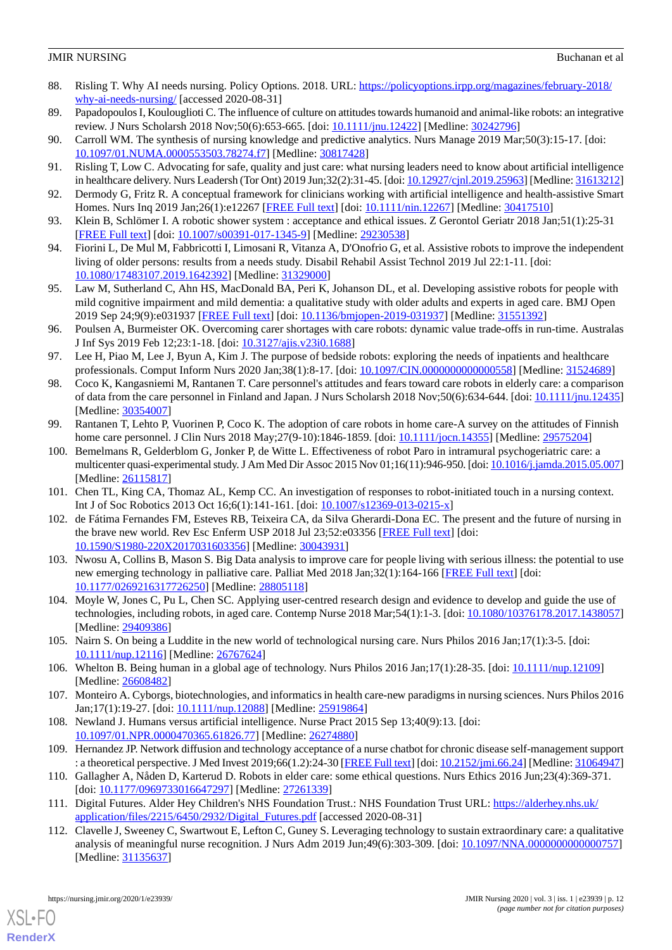- <span id="page-11-0"></span>88. Risling T. Why AI needs nursing. Policy Options. 2018. URL: [https://policyoptions.irpp.org/magazines/february-2018/](https://policyoptions.irpp.org/magazines/february-2018/why-ai-needs-nursing/) [why-ai-needs-nursing/](https://policyoptions.irpp.org/magazines/february-2018/why-ai-needs-nursing/) [accessed 2020-08-31]
- <span id="page-11-2"></span><span id="page-11-1"></span>89. Papadopoulos I, Koulouglioti C. The influence of culture on attitudes towards humanoid and animal-like robots: an integrative review. J Nurs Scholarsh 2018 Nov;50(6):653-665. [doi: [10.1111/jnu.12422\]](http://dx.doi.org/10.1111/jnu.12422) [Medline: [30242796\]](http://www.ncbi.nlm.nih.gov/entrez/query.fcgi?cmd=Retrieve&db=PubMed&list_uids=30242796&dopt=Abstract)
- <span id="page-11-3"></span>90. Carroll WM. The synthesis of nursing knowledge and predictive analytics. Nurs Manage 2019 Mar;50(3):15-17. [doi: [10.1097/01.NUMA.0000553503.78274.f7\]](http://dx.doi.org/10.1097/01.NUMA.0000553503.78274.f7) [Medline: [30817428\]](http://www.ncbi.nlm.nih.gov/entrez/query.fcgi?cmd=Retrieve&db=PubMed&list_uids=30817428&dopt=Abstract)
- <span id="page-11-4"></span>91. Risling T, Low C. Advocating for safe, quality and just care: what nursing leaders need to know about artificial intelligence in healthcare delivery. Nurs Leadersh (Tor Ont) 2019 Jun;32(2):31-45. [doi: [10.12927/cjnl.2019.25963](http://dx.doi.org/10.12927/cjnl.2019.25963)] [Medline: [31613212](http://www.ncbi.nlm.nih.gov/entrez/query.fcgi?cmd=Retrieve&db=PubMed&list_uids=31613212&dopt=Abstract)]
- 92. Dermody G, Fritz R. A conceptual framework for clinicians working with artificial intelligence and health-assistive Smart Homes. Nurs Inq 2019 Jan; 26(1): e12267 [[FREE Full text](http://europepmc.org/abstract/MED/30417510)] [doi: [10.1111/nin.12267](http://dx.doi.org/10.1111/nin.12267)] [Medline: [30417510\]](http://www.ncbi.nlm.nih.gov/entrez/query.fcgi?cmd=Retrieve&db=PubMed&list_uids=30417510&dopt=Abstract)
- 93. Klein B, Schlömer I. A robotic shower system : acceptance and ethical issues. Z Gerontol Geriatr 2018 Jan;51(1):25-31 [[FREE Full text](http://europepmc.org/abstract/MED/29230538)] [doi: [10.1007/s00391-017-1345-9\]](http://dx.doi.org/10.1007/s00391-017-1345-9) [Medline: [29230538](http://www.ncbi.nlm.nih.gov/entrez/query.fcgi?cmd=Retrieve&db=PubMed&list_uids=29230538&dopt=Abstract)]
- 94. Fiorini L, De Mul M, Fabbricotti I, Limosani R, Vitanza A, D'Onofrio G, et al. Assistive robots to improve the independent living of older persons: results from a needs study. Disabil Rehabil Assist Technol 2019 Jul 22:1-11. [doi: [10.1080/17483107.2019.1642392\]](http://dx.doi.org/10.1080/17483107.2019.1642392) [Medline: [31329000\]](http://www.ncbi.nlm.nih.gov/entrez/query.fcgi?cmd=Retrieve&db=PubMed&list_uids=31329000&dopt=Abstract)
- 95. Law M, Sutherland C, Ahn HS, MacDonald BA, Peri K, Johanson DL, et al. Developing assistive robots for people with mild cognitive impairment and mild dementia: a qualitative study with older adults and experts in aged care. BMJ Open 2019 Sep 24;9(9):e031937 [\[FREE Full text](https://bmjopen.bmj.com/lookup/pmidlookup?view=long&pmid=31551392)] [doi: [10.1136/bmjopen-2019-031937\]](http://dx.doi.org/10.1136/bmjopen-2019-031937) [Medline: [31551392](http://www.ncbi.nlm.nih.gov/entrez/query.fcgi?cmd=Retrieve&db=PubMed&list_uids=31551392&dopt=Abstract)]
- 96. Poulsen A, Burmeister OK. Overcoming carer shortages with care robots: dynamic value trade-offs in run-time. Australas J Inf Sys 2019 Feb 12;23:1-18. [doi: [10.3127/ajis.v23i0.1688](http://dx.doi.org/10.3127/ajis.v23i0.1688)]
- 97. Lee H, Piao M, Lee J, Byun A, Kim J. The purpose of bedside robots: exploring the needs of inpatients and healthcare professionals. Comput Inform Nurs 2020 Jan;38(1):8-17. [doi: [10.1097/CIN.0000000000000558](http://dx.doi.org/10.1097/CIN.0000000000000558)] [Medline: [31524689\]](http://www.ncbi.nlm.nih.gov/entrez/query.fcgi?cmd=Retrieve&db=PubMed&list_uids=31524689&dopt=Abstract)
- 98. Coco K, Kangasniemi M, Rantanen T. Care personnel's attitudes and fears toward care robots in elderly care: a comparison of data from the care personnel in Finland and Japan. J Nurs Scholarsh 2018 Nov;50(6):634-644. [doi: [10.1111/jnu.12435](http://dx.doi.org/10.1111/jnu.12435)] [Medline: [30354007](http://www.ncbi.nlm.nih.gov/entrez/query.fcgi?cmd=Retrieve&db=PubMed&list_uids=30354007&dopt=Abstract)]
- 99. Rantanen T, Lehto P, Vuorinen P, Coco K. The adoption of care robots in home care-A survey on the attitudes of Finnish home care personnel. J Clin Nurs 2018 May; 27(9-10): 1846-1859. [doi: [10.1111/jocn.14355](http://dx.doi.org/10.1111/jocn.14355)] [Medline: [29575204](http://www.ncbi.nlm.nih.gov/entrez/query.fcgi?cmd=Retrieve&db=PubMed&list_uids=29575204&dopt=Abstract)]
- 100. Bemelmans R, Gelderblom G, Jonker P, de Witte L. Effectiveness of robot Paro in intramural psychogeriatric care: a multicenter quasi-experimental study. J Am Med Dir Assoc 2015 Nov 01;16(11):946-950. [doi: [10.1016/j.jamda.2015.05.007](http://dx.doi.org/10.1016/j.jamda.2015.05.007)] [Medline: [26115817](http://www.ncbi.nlm.nih.gov/entrez/query.fcgi?cmd=Retrieve&db=PubMed&list_uids=26115817&dopt=Abstract)]
- 101. Chen TL, King CA, Thomaz AL, Kemp CC. An investigation of responses to robot-initiated touch in a nursing context. Int J of Soc Robotics 2013 Oct 16;6(1):141-161. [doi: [10.1007/s12369-013-0215-x](http://dx.doi.org/10.1007/s12369-013-0215-x)]
- 102. de Fátima Fernandes FM, Esteves RB, Teixeira CA, da Silva Gherardi-Dona EC. The present and the future of nursing in the brave new world. Rev Esc Enferm USP 2018 Jul 23;52:e03356 [[FREE Full text](https://www.scielo.br/scielo.php?script=sci_arttext&pid=S0080-62342018000100601&lng=en&nrm=iso&tlng=en)] [doi: [10.1590/S1980-220X2017031603356\]](http://dx.doi.org/10.1590/S1980-220X2017031603356) [Medline: [30043931\]](http://www.ncbi.nlm.nih.gov/entrez/query.fcgi?cmd=Retrieve&db=PubMed&list_uids=30043931&dopt=Abstract)
- 103. Nwosu A, Collins B, Mason S. Big Data analysis to improve care for people living with serious illness: the potential to use new emerging technology in palliative care. Palliat Med 2018 Jan;32(1):164-166 [[FREE Full text](https://journals.sagepub.com/doi/10.1177/0269216317726250?url_ver=Z39.88-2003&rfr_id=ori:rid:crossref.org&rfr_dat=cr_pub%3dpubmed)] [doi: [10.1177/0269216317726250\]](http://dx.doi.org/10.1177/0269216317726250) [Medline: [28805118\]](http://www.ncbi.nlm.nih.gov/entrez/query.fcgi?cmd=Retrieve&db=PubMed&list_uids=28805118&dopt=Abstract)
- 104. Moyle W, Jones C, Pu L, Chen SC. Applying user-centred research design and evidence to develop and guide the use of technologies, including robots, in aged care. Contemp Nurse 2018 Mar;54(1):1-3. [doi: [10.1080/10376178.2017.1438057](http://dx.doi.org/10.1080/10376178.2017.1438057)] [Medline: [29409386](http://www.ncbi.nlm.nih.gov/entrez/query.fcgi?cmd=Retrieve&db=PubMed&list_uids=29409386&dopt=Abstract)]
- 105. Nairn S. On being a Luddite in the new world of technological nursing care. Nurs Philos 2016 Jan;17(1):3-5. [doi: [10.1111/nup.12116](http://dx.doi.org/10.1111/nup.12116)] [Medline: [26767624](http://www.ncbi.nlm.nih.gov/entrez/query.fcgi?cmd=Retrieve&db=PubMed&list_uids=26767624&dopt=Abstract)]
- 106. Whelton B. Being human in a global age of technology. Nurs Philos 2016 Jan;17(1):28-35. [doi: [10.1111/nup.12109\]](http://dx.doi.org/10.1111/nup.12109) [Medline: [26608482](http://www.ncbi.nlm.nih.gov/entrez/query.fcgi?cmd=Retrieve&db=PubMed&list_uids=26608482&dopt=Abstract)]
- 107. Monteiro A. Cyborgs, biotechnologies, and informatics in health care-new paradigms in nursing sciences. Nurs Philos 2016 Jan;17(1):19-27. [doi: [10.1111/nup.12088\]](http://dx.doi.org/10.1111/nup.12088) [Medline: [25919864](http://www.ncbi.nlm.nih.gov/entrez/query.fcgi?cmd=Retrieve&db=PubMed&list_uids=25919864&dopt=Abstract)]
- 108. Newland J. Humans versus artificial intelligence. Nurse Pract 2015 Sep 13;40(9):13. [doi: [10.1097/01.NPR.0000470365.61826.77](http://dx.doi.org/10.1097/01.NPR.0000470365.61826.77)] [Medline: [26274880](http://www.ncbi.nlm.nih.gov/entrez/query.fcgi?cmd=Retrieve&db=PubMed&list_uids=26274880&dopt=Abstract)]
- 109. Hernandez JP. Network diffusion and technology acceptance of a nurse chatbot for chronic disease self-management support : a theoretical perspective. J Med Invest 2019;66(1.2):24-30 [\[FREE Full text](https://dx.doi.org/10.2152/jmi.66.24)] [doi: [10.2152/jmi.66.24](http://dx.doi.org/10.2152/jmi.66.24)] [Medline: [31064947\]](http://www.ncbi.nlm.nih.gov/entrez/query.fcgi?cmd=Retrieve&db=PubMed&list_uids=31064947&dopt=Abstract)
- 110. Gallagher A, Nåden D, Karterud D. Robots in elder care: some ethical questions. Nurs Ethics 2016 Jun;23(4):369-371. [doi: [10.1177/0969733016647297](http://dx.doi.org/10.1177/0969733016647297)] [Medline: [27261339\]](http://www.ncbi.nlm.nih.gov/entrez/query.fcgi?cmd=Retrieve&db=PubMed&list_uids=27261339&dopt=Abstract)
- 111. Digital Futures. Alder Hey Children's NHS Foundation Trust.: NHS Foundation Trust URL: [https://alderhey.nhs.uk/](https://alderhey.nhs.uk/application/files/2215/6450/2932/Digital_Futures.pdf) [application/files/2215/6450/2932/Digital\\_Futures.pdf](https://alderhey.nhs.uk/application/files/2215/6450/2932/Digital_Futures.pdf) [accessed 2020-08-31]
- 112. Clavelle J, Sweeney C, Swartwout E, Lefton C, Guney S. Leveraging technology to sustain extraordinary care: a qualitative analysis of meaningful nurse recognition. J Nurs Adm 2019 Jun;49(6):303-309. [doi: [10.1097/NNA.0000000000000757](http://dx.doi.org/10.1097/NNA.0000000000000757)] [Medline: [31135637](http://www.ncbi.nlm.nih.gov/entrez/query.fcgi?cmd=Retrieve&db=PubMed&list_uids=31135637&dopt=Abstract)]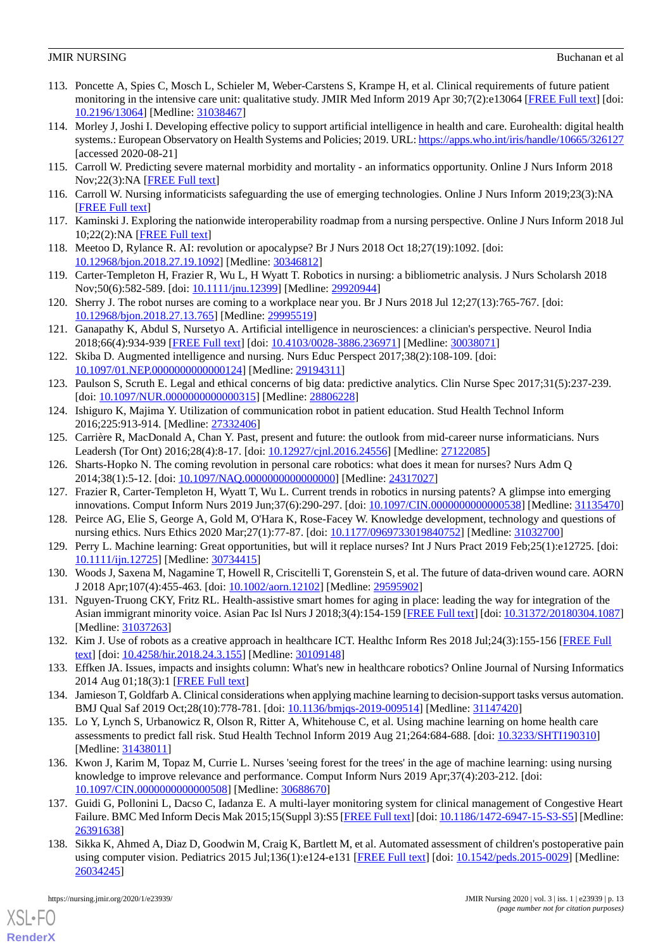- 113. Poncette A, Spies C, Mosch L, Schieler M, Weber-Carstens S, Krampe H, et al. Clinical requirements of future patient monitoring in the intensive care unit: qualitative study. JMIR Med Inform 2019 Apr 30;7(2):e13064 [\[FREE Full text](https://medinform.jmir.org/2019/2/e13064/)] [doi: [10.2196/13064\]](http://dx.doi.org/10.2196/13064) [Medline: [31038467\]](http://www.ncbi.nlm.nih.gov/entrez/query.fcgi?cmd=Retrieve&db=PubMed&list_uids=31038467&dopt=Abstract)
- 114. Morley J, Joshi I. Developing effective policy to support artificial intelligence in health and care. Eurohealth: digital health systems.: European Observatory on Health Systems and Policies; 2019. URL:<https://apps.who.int/iris/handle/10665/326127> [accessed 2020-08-21]
- 115. Carroll W. Predicting severe maternal morbidity and mortality an informatics opportunity. Online J Nurs Inform 2018 Nov;22(3):NA [[FREE Full text](https://www.himss.org/library/predicting-severe-maternal-morbidity-and-mortality-informatics-opportunity)]
- 116. Carroll W. Nursing informaticists safeguarding the use of emerging technologies. Online J Nurs Inform 2019;23(3):NA [[FREE Full text](https://www.himss.org/resources/nursing-informaticists-safeguarding-use-emerging-technologies)]
- 117. Kaminski J. Exploring the nationwide interoperability roadmap from a nursing perspective. Online J Nurs Inform 2018 Jul 10;22(2): NA [[FREE Full text](https://www.himss.org/library/exploring-nationwide-interoperability-roadmap-nursing-perspective)]
- 118. Meetoo D, Rylance R. AI: revolution or apocalypse? Br J Nurs 2018 Oct 18;27(19):1092. [doi: [10.12968/bjon.2018.27.19.1092\]](http://dx.doi.org/10.12968/bjon.2018.27.19.1092) [Medline: [30346812](http://www.ncbi.nlm.nih.gov/entrez/query.fcgi?cmd=Retrieve&db=PubMed&list_uids=30346812&dopt=Abstract)]
- 119. Carter-Templeton H, Frazier R, Wu L, H Wyatt T. Robotics in nursing: a bibliometric analysis. J Nurs Scholarsh 2018 Nov;50(6):582-589. [doi: [10.1111/jnu.12399](http://dx.doi.org/10.1111/jnu.12399)] [Medline: [29920944\]](http://www.ncbi.nlm.nih.gov/entrez/query.fcgi?cmd=Retrieve&db=PubMed&list_uids=29920944&dopt=Abstract)
- 120. Sherry J. The robot nurses are coming to a workplace near you. Br J Nurs 2018 Jul 12;27(13):765-767. [doi: [10.12968/bjon.2018.27.13.765\]](http://dx.doi.org/10.12968/bjon.2018.27.13.765) [Medline: [29995519](http://www.ncbi.nlm.nih.gov/entrez/query.fcgi?cmd=Retrieve&db=PubMed&list_uids=29995519&dopt=Abstract)]
- 121. Ganapathy K, Abdul S, Nursetyo A. Artificial intelligence in neurosciences: a clinician's perspective. Neurol India 2018;66(4):934-939 [[FREE Full text](http://www.neurologyindia.com/article.asp?issn=0028-3886;year=2018;volume=66;issue=4;spage=934;epage=939;aulast=Ganapathy)] [doi: [10.4103/0028-3886.236971\]](http://dx.doi.org/10.4103/0028-3886.236971) [Medline: [30038071](http://www.ncbi.nlm.nih.gov/entrez/query.fcgi?cmd=Retrieve&db=PubMed&list_uids=30038071&dopt=Abstract)]
- 122. Skiba D. Augmented intelligence and nursing. Nurs Educ Perspect 2017;38(2):108-109. [doi: [10.1097/01.NEP.0000000000000124\]](http://dx.doi.org/10.1097/01.NEP.0000000000000124) [Medline: [29194311](http://www.ncbi.nlm.nih.gov/entrez/query.fcgi?cmd=Retrieve&db=PubMed&list_uids=29194311&dopt=Abstract)]
- 123. Paulson S, Scruth E. Legal and ethical concerns of big data: predictive analytics. Clin Nurse Spec 2017;31(5):237-239. [doi: [10.1097/NUR.0000000000000315\]](http://dx.doi.org/10.1097/NUR.0000000000000315) [Medline: [28806228\]](http://www.ncbi.nlm.nih.gov/entrez/query.fcgi?cmd=Retrieve&db=PubMed&list_uids=28806228&dopt=Abstract)
- 124. Ishiguro K, Majima Y. Utilization of communication robot in patient education. Stud Health Technol Inform 2016;225:913-914. [Medline: [27332406](http://www.ncbi.nlm.nih.gov/entrez/query.fcgi?cmd=Retrieve&db=PubMed&list_uids=27332406&dopt=Abstract)]
- 125. Carrière R, MacDonald A, Chan Y. Past, present and future: the outlook from mid-career nurse informaticians. Nurs Leadersh (Tor Ont) 2016;28(4):8-17. [doi: [10.12927/cjnl.2016.24556](http://dx.doi.org/10.12927/cjnl.2016.24556)] [Medline: [27122085\]](http://www.ncbi.nlm.nih.gov/entrez/query.fcgi?cmd=Retrieve&db=PubMed&list_uids=27122085&dopt=Abstract)
- 126. Sharts-Hopko N. The coming revolution in personal care robotics: what does it mean for nurses? Nurs Adm Q 2014;38(1):5-12. [doi: [10.1097/NAQ.0000000000000000](http://dx.doi.org/10.1097/NAQ.0000000000000000)] [Medline: [24317027\]](http://www.ncbi.nlm.nih.gov/entrez/query.fcgi?cmd=Retrieve&db=PubMed&list_uids=24317027&dopt=Abstract)
- 127. Frazier R, Carter-Templeton H, Wyatt T, Wu L. Current trends in robotics in nursing patents? A glimpse into emerging innovations. Comput Inform Nurs 2019 Jun;37(6):290-297. [doi: [10.1097/CIN.0000000000000538\]](http://dx.doi.org/10.1097/CIN.0000000000000538) [Medline: [31135470](http://www.ncbi.nlm.nih.gov/entrez/query.fcgi?cmd=Retrieve&db=PubMed&list_uids=31135470&dopt=Abstract)]
- 128. Peirce AG, Elie S, George A, Gold M, O'Hara K, Rose-Facey W. Knowledge development, technology and questions of nursing ethics. Nurs Ethics 2020 Mar; 27(1): 77-87. [doi: [10.1177/0969733019840752](http://dx.doi.org/10.1177/0969733019840752)] [Medline: [31032700\]](http://www.ncbi.nlm.nih.gov/entrez/query.fcgi?cmd=Retrieve&db=PubMed&list_uids=31032700&dopt=Abstract)
- 129. Perry L. Machine learning: Great opportunities, but will it replace nurses? Int J Nurs Pract 2019 Feb;25(1):e12725. [doi: [10.1111/ijn.12725\]](http://dx.doi.org/10.1111/ijn.12725) [Medline: [30734415\]](http://www.ncbi.nlm.nih.gov/entrez/query.fcgi?cmd=Retrieve&db=PubMed&list_uids=30734415&dopt=Abstract)
- 130. Woods J, Saxena M, Nagamine T, Howell R, Criscitelli T, Gorenstein S, et al. The future of data-driven wound care. AORN J 2018 Apr;107(4):455-463. [doi: [10.1002/aorn.12102\]](http://dx.doi.org/10.1002/aorn.12102) [Medline: [29595902](http://www.ncbi.nlm.nih.gov/entrez/query.fcgi?cmd=Retrieve&db=PubMed&list_uids=29595902&dopt=Abstract)]
- 131. Nguyen-Truong CKY, Fritz RL. Health-assistive smart homes for aging in place: leading the way for integration of the Asian immigrant minority voice. Asian Pac Isl Nurs J 2018;3(4):154-159 [[FREE Full text](http://europepmc.org/abstract/MED/31037263)] [doi: [10.31372/20180304.1087](http://dx.doi.org/10.31372/20180304.1087)] [Medline: [31037263](http://www.ncbi.nlm.nih.gov/entrez/query.fcgi?cmd=Retrieve&db=PubMed&list_uids=31037263&dopt=Abstract)]
- 132. Kim J. Use of robots as a creative approach in healthcare ICT. Healthc Inform Res 2018 Jul;24(3):155-156 [[FREE Full](https://www.e-hir.org/DOIx.php?id=10.4258/hir.2018.24.3.155) [text](https://www.e-hir.org/DOIx.php?id=10.4258/hir.2018.24.3.155)] [doi: [10.4258/hir.2018.24.3.155](http://dx.doi.org/10.4258/hir.2018.24.3.155)] [Medline: [30109148](http://www.ncbi.nlm.nih.gov/entrez/query.fcgi?cmd=Retrieve&db=PubMed&list_uids=30109148&dopt=Abstract)]
- 133. Effken JA. Issues, impacts and insights column: What's new in healthcare robotics? Online Journal of Nursing Informatics 2014 Aug 01;18(3):1 [[FREE Full text](https://www.researchgate.net/publication/287764294_Issues_impacts_and_insights_column_What)]
- 134. Jamieson T, Goldfarb A. Clinical considerations when applying machine learning to decision-support tasks versus automation. BMJ Qual Saf 2019 Oct;28(10):778-781. [doi: [10.1136/bmjqs-2019-009514\]](http://dx.doi.org/10.1136/bmjqs-2019-009514) [Medline: [31147420](http://www.ncbi.nlm.nih.gov/entrez/query.fcgi?cmd=Retrieve&db=PubMed&list_uids=31147420&dopt=Abstract)]
- 135. Lo Y, Lynch S, Urbanowicz R, Olson R, Ritter A, Whitehouse C, et al. Using machine learning on home health care assessments to predict fall risk. Stud Health Technol Inform 2019 Aug 21;264:684-688. [doi: [10.3233/SHTI190310](http://dx.doi.org/10.3233/SHTI190310)] [Medline: [31438011](http://www.ncbi.nlm.nih.gov/entrez/query.fcgi?cmd=Retrieve&db=PubMed&list_uids=31438011&dopt=Abstract)]
- 136. Kwon J, Karim M, Topaz M, Currie L. Nurses 'seeing forest for the trees' in the age of machine learning: using nursing knowledge to improve relevance and performance. Comput Inform Nurs 2019 Apr;37(4):203-212. [doi: [10.1097/CIN.0000000000000508\]](http://dx.doi.org/10.1097/CIN.0000000000000508) [Medline: [30688670](http://www.ncbi.nlm.nih.gov/entrez/query.fcgi?cmd=Retrieve&db=PubMed&list_uids=30688670&dopt=Abstract)]
- 137. Guidi G, Pollonini L, Dacso C, Iadanza E. A multi-layer monitoring system for clinical management of Congestive Heart Failure. BMC Med Inform Decis Mak 2015;15(Suppl 3):S5 [[FREE Full text\]](https://bmcmedinformdecismak.biomedcentral.com/articles/10.1186/1472-6947-15-S3-S5) [doi: [10.1186/1472-6947-15-S3-S5](http://dx.doi.org/10.1186/1472-6947-15-S3-S5)] [Medline: [26391638](http://www.ncbi.nlm.nih.gov/entrez/query.fcgi?cmd=Retrieve&db=PubMed&list_uids=26391638&dopt=Abstract)]
- 138. Sikka K, Ahmed A, Diaz D, Goodwin M, Craig K, Bartlett M, et al. Automated assessment of children's postoperative pain using computer vision. Pediatrics 2015 Jul;136(1):e124-e131 [[FREE Full text](http://europepmc.org/abstract/MED/26034245)] [doi: [10.1542/peds.2015-0029\]](http://dx.doi.org/10.1542/peds.2015-0029) [Medline: [26034245](http://www.ncbi.nlm.nih.gov/entrez/query.fcgi?cmd=Retrieve&db=PubMed&list_uids=26034245&dopt=Abstract)]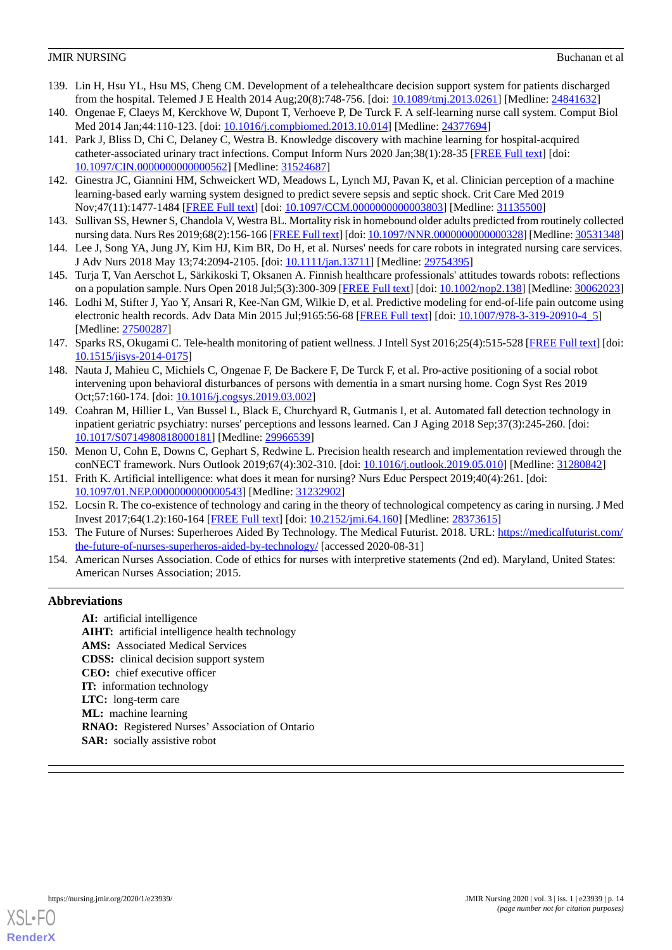- 139. Lin H, Hsu YL, Hsu MS, Cheng CM. Development of a telehealthcare decision support system for patients discharged from the hospital. Telemed J E Health 2014 Aug;20(8):748-756. [doi: [10.1089/tmj.2013.0261](http://dx.doi.org/10.1089/tmj.2013.0261)] [Medline: [24841632\]](http://www.ncbi.nlm.nih.gov/entrez/query.fcgi?cmd=Retrieve&db=PubMed&list_uids=24841632&dopt=Abstract)
- 140. Ongenae F, Claeys M, Kerckhove W, Dupont T, Verhoeve P, De Turck F. A self-learning nurse call system. Comput Biol Med 2014 Jan;44:110-123. [doi: [10.1016/j.compbiomed.2013.10.014\]](http://dx.doi.org/10.1016/j.compbiomed.2013.10.014) [Medline: [24377694\]](http://www.ncbi.nlm.nih.gov/entrez/query.fcgi?cmd=Retrieve&db=PubMed&list_uids=24377694&dopt=Abstract)
- 141. Park J, Bliss D, Chi C, Delaney C, Westra B. Knowledge discovery with machine learning for hospital-acquired catheter-associated urinary tract infections. Comput Inform Nurs 2020 Jan;38(1):28-35 [\[FREE Full text\]](http://europepmc.org/abstract/MED/31524687) [doi: [10.1097/CIN.0000000000000562\]](http://dx.doi.org/10.1097/CIN.0000000000000562) [Medline: [31524687](http://www.ncbi.nlm.nih.gov/entrez/query.fcgi?cmd=Retrieve&db=PubMed&list_uids=31524687&dopt=Abstract)]
- 142. Ginestra JC, Giannini HM, Schweickert WD, Meadows L, Lynch MJ, Pavan K, et al. Clinician perception of a machine learning-based early warning system designed to predict severe sepsis and septic shock. Crit Care Med 2019 Nov;47(11):1477-1484 [[FREE Full text](http://europepmc.org/abstract/MED/31135500)] [doi: [10.1097/CCM.0000000000003803\]](http://dx.doi.org/10.1097/CCM.0000000000003803) [Medline: [31135500](http://www.ncbi.nlm.nih.gov/entrez/query.fcgi?cmd=Retrieve&db=PubMed&list_uids=31135500&dopt=Abstract)]
- 143. Sullivan SS, Hewner S, Chandola V, Westra BL. Mortality risk in homebound older adults predicted from routinely collected nursing data. Nurs Res 2019;68(2):156-166 [[FREE Full text](http://europepmc.org/abstract/MED/30531348)] [doi: [10.1097/NNR.0000000000000328\]](http://dx.doi.org/10.1097/NNR.0000000000000328) [Medline: [30531348\]](http://www.ncbi.nlm.nih.gov/entrez/query.fcgi?cmd=Retrieve&db=PubMed&list_uids=30531348&dopt=Abstract)
- 144. Lee J, Song YA, Jung JY, Kim HJ, Kim BR, Do H, et al. Nurses' needs for care robots in integrated nursing care services. J Adv Nurs 2018 May 13;74:2094-2105. [doi: [10.1111/jan.13711](http://dx.doi.org/10.1111/jan.13711)] [Medline: [29754395\]](http://www.ncbi.nlm.nih.gov/entrez/query.fcgi?cmd=Retrieve&db=PubMed&list_uids=29754395&dopt=Abstract)
- 145. Turja T, Van Aerschot L, Särkikoski T, Oksanen A. Finnish healthcare professionals' attitudes towards robots: reflections on a population sample. Nurs Open 2018 Jul;5(3):300-309 [\[FREE Full text](http://europepmc.org/abstract/MED/30062023)] [doi: [10.1002/nop2.138](http://dx.doi.org/10.1002/nop2.138)] [Medline: [30062023](http://www.ncbi.nlm.nih.gov/entrez/query.fcgi?cmd=Retrieve&db=PubMed&list_uids=30062023&dopt=Abstract)]
- 146. Lodhi M, Stifter J, Yao Y, Ansari R, Kee-Nan GM, Wilkie D, et al. Predictive modeling for end-of-life pain outcome using electronic health records. Adv Data Min 2015 Jul;9165:56-68 [[FREE Full text](http://europepmc.org/abstract/MED/27500287)] [doi: [10.1007/978-3-319-20910-4\\_5](http://dx.doi.org/10.1007/978-3-319-20910-4_5)] [Medline: [27500287](http://www.ncbi.nlm.nih.gov/entrez/query.fcgi?cmd=Retrieve&db=PubMed&list_uids=27500287&dopt=Abstract)]
- 147. Sparks RS, Okugami C. Tele-health monitoring of patient wellness. J Intell Syst 2016;25(4):515-528 [\[FREE Full text](https://www.degruyter.com/view/journals/jisys/25/4/article-p515.xml)] [doi: [10.1515/jisys-2014-0175\]](http://dx.doi.org/10.1515/jisys-2014-0175)
- 148. Nauta J, Mahieu C, Michiels C, Ongenae F, De Backere F, De Turck F, et al. Pro-active positioning of a social robot intervening upon behavioral disturbances of persons with dementia in a smart nursing home. Cogn Syst Res 2019 Oct;57:160-174. [doi: [10.1016/j.cogsys.2019.03.002](http://dx.doi.org/10.1016/j.cogsys.2019.03.002)]
- 149. Coahran M, Hillier L, Van Bussel L, Black E, Churchyard R, Gutmanis I, et al. Automated fall detection technology in inpatient geriatric psychiatry: nurses' perceptions and lessons learned. Can J Aging 2018 Sep;37(3):245-260. [doi: [10.1017/S0714980818000181](http://dx.doi.org/10.1017/S0714980818000181)] [Medline: [29966539](http://www.ncbi.nlm.nih.gov/entrez/query.fcgi?cmd=Retrieve&db=PubMed&list_uids=29966539&dopt=Abstract)]
- <span id="page-13-0"></span>150. Menon U, Cohn E, Downs C, Gephart S, Redwine L. Precision health research and implementation reviewed through the conNECT framework. Nurs Outlook 2019;67(4):302-310. [doi: [10.1016/j.outlook.2019.05.010\]](http://dx.doi.org/10.1016/j.outlook.2019.05.010) [Medline: [31280842\]](http://www.ncbi.nlm.nih.gov/entrez/query.fcgi?cmd=Retrieve&db=PubMed&list_uids=31280842&dopt=Abstract)
- <span id="page-13-1"></span>151. Frith K. Artificial intelligence: what does it mean for nursing? Nurs Educ Perspect 2019;40(4):261. [doi: [10.1097/01.NEP.0000000000000543\]](http://dx.doi.org/10.1097/01.NEP.0000000000000543) [Medline: [31232902](http://www.ncbi.nlm.nih.gov/entrez/query.fcgi?cmd=Retrieve&db=PubMed&list_uids=31232902&dopt=Abstract)]
- <span id="page-13-2"></span>152. Locsin R. The co-existence of technology and caring in the theory of technological competency as caring in nursing. J Med Invest 2017;64(1.2):160-164 [[FREE Full text](https://dx.doi.org/10.2152/jmi.64.160)] [doi: [10.2152/jmi.64.160](http://dx.doi.org/10.2152/jmi.64.160)] [Medline: [28373615\]](http://www.ncbi.nlm.nih.gov/entrez/query.fcgi?cmd=Retrieve&db=PubMed&list_uids=28373615&dopt=Abstract)
- 153. The Future of Nurses: Superheroes Aided By Technology. The Medical Futurist. 2018. URL: [https://medicalfuturist.com/](https://medicalfuturist.com/the-future-of-nurses-superheros-aided-by-technology/) [the-future-of-nurses-superheros-aided-by-technology/](https://medicalfuturist.com/the-future-of-nurses-superheros-aided-by-technology/) [accessed 2020-08-31]
- 154. American Nurses Association. Code of ethics for nurses with interpretive statements (2nd ed). Maryland, United States: American Nurses Association; 2015.

#### **Abbreviations**

**AI:** artificial intelligence **AIHT:** artificial intelligence health technology **AMS:** Associated Medical Services **CDSS:** clinical decision support system **CEO:** chief executive officer **IT:** information technology **LTC:** long-term care **ML:** machine learning **RNAO:** Registered Nurses' Association of Ontario **SAR:** socially assistive robot